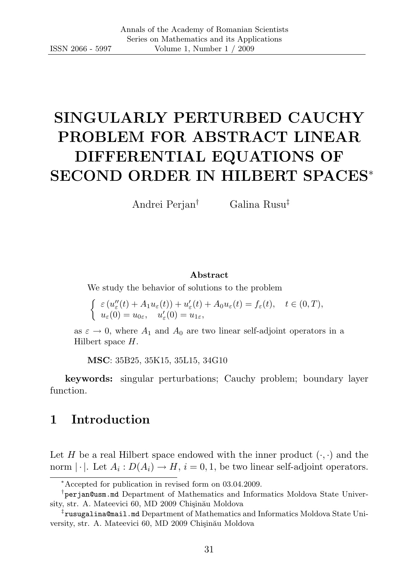# SINGULARLY PERTURBED CAUCHY PROBLEM FOR ABSTRACT LINEAR DIFFERENTIAL EQUATIONS OF SECOND ORDER IN HILBERT SPACES<sup>∗</sup>

Andrei Perjan† Galina Rusu‡

#### Abstract

We study the behavior of solutions to the problem

$$
\begin{cases} \varepsilon (u''_{\varepsilon}(t) + A_1 u_{\varepsilon}(t)) + u'_{\varepsilon}(t) + A_0 u_{\varepsilon}(t) = f_{\varepsilon}(t), \quad t \in (0, T), \\ u_{\varepsilon}(0) = u_{0\varepsilon}, \quad u'_{\varepsilon}(0) = u_{1\varepsilon}, \end{cases}
$$

as  $\varepsilon \to 0$ , where  $A_1$  and  $A_0$  are two linear self-adjoint operators in a Hilbert space H.

MSC: 35B25, 35K15, 35L15, 34G10

keywords: singular perturbations; Cauchy problem; boundary layer function.

### 1 Introduction

Let H be a real Hilbert space endowed with the inner product  $(\cdot, \cdot)$  and the norm  $|\cdot|$ . Let  $A_i: D(A_i) \to H$ ,  $i = 0, 1$ , be two linear self-adjoint operators.

<sup>∗</sup>Accepted for publication in revised form on 03.04.2009.

<sup>†</sup> perjan@usm.md Department of Mathematics and Informatics Moldova State University, str. A. Mateevici 60, MD 2009 Chişinău Moldova

<sup>‡</sup> rusugalina@mail.md Department of Mathematics and Informatics Moldova State University, str. A. Mateevici 60, MD 2009 Chişinău Moldova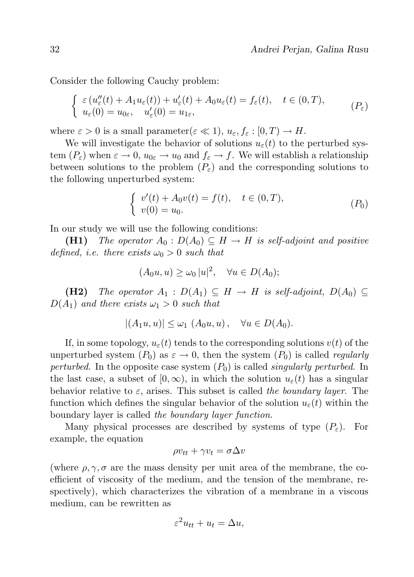Consider the following Cauchy problem:

$$
\begin{cases}\n\varepsilon (u''_{\varepsilon}(t) + A_1 u_{\varepsilon}(t)) + u'_{\varepsilon}(t) + A_0 u_{\varepsilon}(t) = f_{\varepsilon}(t), \quad t \in (0, T), \\
u_{\varepsilon}(0) = u_{0\varepsilon}, \quad u'_{\varepsilon}(0) = u_{1\varepsilon},\n\end{cases} \tag{P\varepsilon}
$$

where  $\varepsilon > 0$  is a small parameter( $\varepsilon \ll 1$ ),  $u_{\varepsilon}, f_{\varepsilon} : [0, T) \to H$ .

We will investigate the behavior of solutions  $u_{\varepsilon}(t)$  to the perturbed system  $(P_{\varepsilon})$  when  $\varepsilon \to 0$ ,  $u_{0\varepsilon} \to u_0$  and  $f_{\varepsilon} \to f$ . We will establish a relationship between solutions to the problem  $(P_{\varepsilon})$  and the corresponding solutions to the following unperturbed system:

$$
\begin{cases}\nv'(t) + A_0 v(t) = f(t), & t \in (0, T), \\
v(0) = u_0.\n\end{cases} \tag{P_0}
$$

In our study we will use the following conditions:

(H1) The operator  $A_0: D(A_0) \subseteq H \to H$  is self-adjoint and positive defined, i.e. there exists  $\omega_0 > 0$  such that

$$
(A_0u, u) \ge \omega_0 |u|^2, \quad \forall u \in D(A_0);
$$

(H2) The operator  $A_1 : D(A_1) \subseteq H \rightarrow H$  is self-adjoint,  $D(A_0) \subseteq$  $D(A_1)$  and there exists  $\omega_1 > 0$  such that

$$
|(A_1u, u)| \le \omega_1 \ (A_0u, u), \quad \forall u \in D(A_0).
$$

If, in some topology,  $u_{\varepsilon}(t)$  tends to the corresponding solutions  $v(t)$  of the unperturbed system  $(P_0)$  as  $\varepsilon \to 0$ , then the system  $(P_0)$  is called *regularly* perturbed. In the opposite case system  $(P_0)$  is called *singularly perturbed*. In the last case, a subset of  $[0, \infty)$ , in which the solution  $u_{\varepsilon}(t)$  has a singular behavior relative to  $\varepsilon$ , arises. This subset is called the boundary layer. The function which defines the singular behavior of the solution  $u_{\varepsilon}(t)$  within the boundary layer is called the boundary layer function.

Many physical processes are described by systems of type  $(P_{\varepsilon})$ . For example, the equation

$$
\rho v_{tt} + \gamma v_t = \sigma \Delta v
$$

(where  $\rho, \gamma, \sigma$  are the mass density per unit area of the membrane, the coefficient of viscosity of the medium, and the tension of the membrane, respectively), which characterizes the vibration of a membrane in a viscous medium, can be rewritten as

$$
\varepsilon^2 u_{tt} + u_t = \Delta u,
$$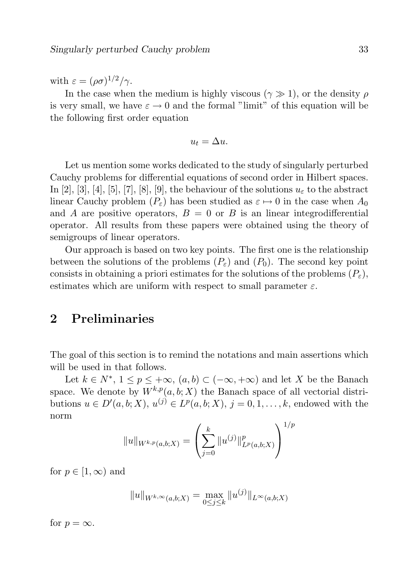with  $\varepsilon = (\rho \sigma)^{1/2}/\gamma$ .

In the case when the medium is highly viscous ( $\gamma \gg 1$ ), or the density  $\rho$ is very small, we have  $\varepsilon \to 0$  and the formal "limit" of this equation will be the following first order equation

$$
u_t = \Delta u.
$$

Let us mention some works dedicated to the study of singularly perturbed Cauchy problems for differential equations of second order in Hilbert spaces. In [2], [3], [4], [5], [7], [8], [9], the behaviour of the solutions  $u_{\varepsilon}$  to the abstract linear Cauchy problem  $(P_{\varepsilon})$  has been studied as  $\varepsilon \mapsto 0$  in the case when  $A_0$ and A are positive operators,  $B = 0$  or B is an linear integrodifferential operator. All results from these papers were obtained using the theory of semigroups of linear operators.

Our approach is based on two key points. The first one is the relationship between the solutions of the problems  $(P_{\varepsilon})$  and  $(P_0)$ . The second key point consists in obtaining a priori estimates for the solutions of the problems  $(P_{\varepsilon})$ , estimates which are uniform with respect to small parameter  $\varepsilon$ .

### 2 Preliminaries

The goal of this section is to remind the notations and main assertions which will be used in that follows.

Let  $k \in N^*$ ,  $1 \le p \le +\infty$ ,  $(a, b) \subset (-\infty, +\infty)$  and let X be the Banach space. We denote by  $W^{k,p}(a, b; X)$  the Banach space of all vectorial distributions  $u \in D'(a, b; X), u^{(j)} \in L^p(a, b; X), j = 0, 1, \ldots, k$ , endowed with the norm

$$
||u||_{W^{k,p}(a,b;X)} = \left(\sum_{j=0}^k ||u^{(j)}||^p_{L^p(a,b;X)}\right)^{1/p}
$$

for  $p \in [1,\infty)$  and

$$
||u||_{W^{k,\infty}(a,b;X)} = \max_{0 \le j \le k} ||u^{(j)}||_{L^{\infty}(a,b;X)}
$$

for  $p = \infty$ .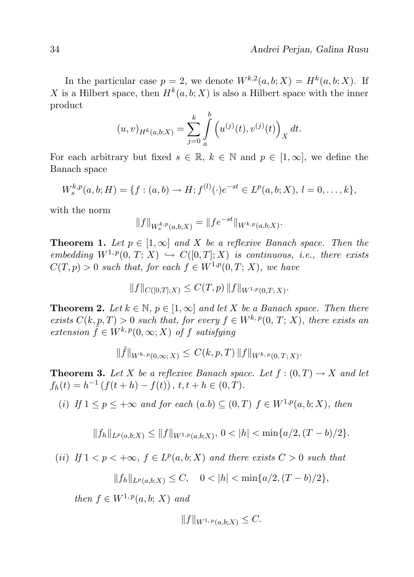In the particular case  $p = 2$ , we denote  $W^{k,2}(a, b; X) = H^k(a, b; X)$ . If X is a Hilbert space, then  $H^k(a, b; X)$  is also a Hilbert space with the inner product

$$
(u,v)_{H^k(a,b;X)} = \sum_{j=0}^k \int_a^b \left( u^{(j)}(t), v^{(j)}(t) \right)_X dt.
$$

For each arbitrary but fixed  $s \in \mathbb{R}$ ,  $k \in \mathbb{N}$  and  $p \in [1,\infty]$ , we define the Banach space

$$
W_s^{k,p}(a,b;H) = \{f:(a,b) \to H; f^{(l)}(\cdot)e^{-st} \in L^p(a,b;X), l = 0,\ldots,k\},\
$$

with the norm

$$
||f||_{W_s^{k,p}(a,b;X)} = ||fe^{-st}||_{W^{k,p}(a,b;X)}.
$$

**Theorem 1.** Let  $p \in [1,\infty]$  and X be a reflexive Banach space. Then the embedding  $W^{1,p}(0, T; X) \hookrightarrow C([0, T]; X)$  is continuous, i.e., there exists  $C(T, p) > 0$  such that, for each  $f \in W^{1,p}(0,T; X)$ , we have

$$
||f||_{C([0,T];X)} \leq C(T,p) ||f||_{W^{1,p}(0,T;X)}.
$$

**Theorem 2.** Let  $k \in \mathbb{N}$ ,  $p \in [1,\infty]$  and let X be a Banach space. Then there exists  $C(k, p, T) > 0$  such that, for every  $f \in W^{k, p}(0, T; X)$ , there exists an extension  $\tilde{f} \in W^{k, p}(0, \infty; X)$  of f satisfying

$$
\|\tilde{f}\|_{W^{k,p}(0,\infty;X)} \leq C(k,p,T) \|f\|_{W^{k,p}(0,T;X)}.
$$

**Theorem 3.** Let X be a reflexive Banach space. Let  $f:(0,T) \to X$  and let  $f_h(t) = h^{-1} (f(t + h) - f(t)), t, t + h \in (0, T).$ 

(i) If  $1 \le p \le +\infty$  and for each  $(a.b) \subseteq (0,T)$   $f \in W^{1,p}(a,b;X)$ , then

$$
||f_h||_{L^p(a,b;X)} \le ||f||_{W^{1,p}(a,b;X)},\ 0<|h|<\min\{a/2,(T-b)/2\}.
$$

(ii) If  $1 < p < +\infty$ ,  $f \in L^p(a, b; X)$  and there exists  $C > 0$  such that

$$
||f_h||_{L^p(a,b;X)} \leq C, \quad 0 < |h| < \min\{a/2, (T-b)/2\},\
$$

then  $f \in W^{1,p}(a,b;X)$  and

$$
||f||_{W^{1,p}(a,b;X)} \leq C.
$$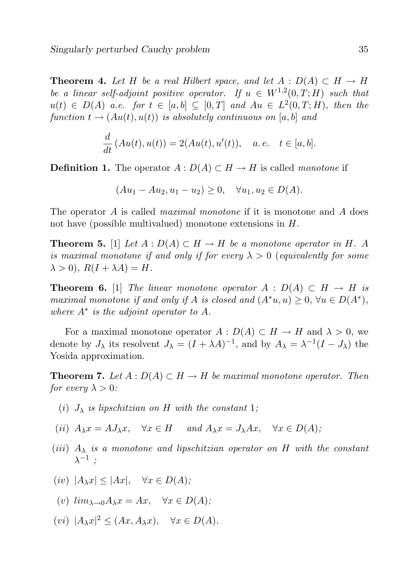**Theorem 4.** Let H be a real Hilbert space, and let  $A : D(A) \subset H \to H$ be a linear self-adjoint positive operator. If  $u \in W^{1,2}(0,T;H)$  such that  $u(t) \in D(A)$  a.e. for  $t \in [a, b] \subseteq [0, T]$  and  $Au \in L^2(0, T; H)$ , then the function  $t \rightarrow (Au(t), u(t))$  is absolutely continuous on [a, b] and

$$
\frac{d}{dt}(Au(t), u(t)) = 2(Au(t), u'(t)), \quad a. e. \quad t \in [a, b].
$$

**Definition 1.** The operator  $A: D(A) \subset H \to H$  is called monotone if

$$
(Au_1 - Au_2, u_1 - u_2) \ge 0, \quad \forall u_1, u_2 \in D(A).
$$

The operator A is called *maximal monotone* if it is monotone and A does not have (possible multivalued) monotone extensions in H.

**Theorem 5.** [1] Let  $A : D(A) \subset H \to H$  be a monotone operator in H. A is maximal monotone if and only if for every  $\lambda > 0$  (equivalently for some  $\lambda > 0$ ,  $R(I + \lambda A) = H$ .

**Theorem 6.** [1] The linear monotone operator  $A : D(A) \subset H \to H$  is maximal monotone if and only if A is closed and  $(A^*u, u) \geq 0$ ,  $\forall u \in D(A^*)$ , where  $A^*$  is the adjoint operator to  $A$ .

For a maximal monotone operator  $A: D(A) \subset H \to H$  and  $\lambda > 0$ , we denote by  $J_{\lambda}$  its resolvent  $J_{\lambda} = (I + \lambda A)^{-1}$ , and by  $A_{\lambda} = \lambda^{-1}(I - J_{\lambda})$  the Yosida approximation.

**Theorem 7.** Let  $A: D(A) \subset H \to H$  be maximal monotone operator. Then for every  $\lambda > 0$ :

- (i)  $J_{\lambda}$  is lipschitzian on H with the constant 1;
- (ii)  $A_\lambda x = A J_\lambda x$ ,  $\forall x \in H$  and  $A_\lambda x = J_\lambda Ax$ ,  $\forall x \in D(A)$ ;
- (iii)  $A_{\lambda}$  is a monotone and lipschitzian operator on H with the constant  $\lambda^{-1}$  ;
- (iv)  $|A_\lambda x| \le |Ax|, \quad \forall x \in D(A);$

(v) 
$$
\lim_{\lambda \to 0} A_{\lambda} x = Ax, \quad \forall x \in D(A);
$$

 $(vi)$   $|A_\lambda x|^2 \leq (Ax, A_\lambda x), \quad \forall x \in D(A).$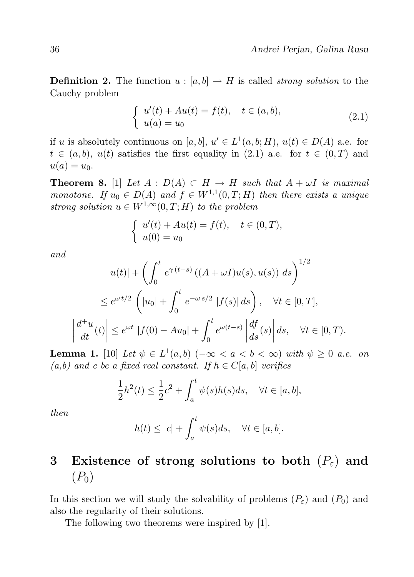**Definition 2.** The function  $u : [a, b] \to H$  is called *strong solution* to the Cauchy problem

$$
\begin{cases}\n u'(t) + Au(t) = f(t), & t \in (a, b), \\
 u(a) = u_0\n\end{cases}
$$
\n(2.1)

if u is absolutely continuous on  $[a, b], u' \in L^1(a, b; H), u(t) \in D(A)$  a.e. for  $t \in (a, b), u(t)$  satisfies the first equality in (2.1) a.e. for  $t \in (0, T)$  and  $u(a) = u_0.$ 

**Theorem 8.** [1] Let  $A : D(A) \subset H \to H$  such that  $A + \omega I$  is maximal monotone. If  $u_0 \in D(A)$  and  $f \in W^{1,1}(0,T;H)$  then there exists a unique strong solution  $u \in W^{1,\infty}(0,T;H)$  to the problem

$$
\begin{cases}\n u'(t) + Au(t) = f(t), & t \in (0, T), \\
 u(0) = u_0\n\end{cases}
$$

and

 $\overline{\phantom{a}}$  $\overline{\phantom{a}}$  $\overline{\phantom{a}}$  $\overline{\phantom{a}}$ 

$$
|u(t)| + \left(\int_0^t e^{\gamma(t-s)} \left( (A + \omega I) u(s), u(s) \right) ds \right)^{1/2}
$$
  

$$
\leq e^{\omega t/2} \left( |u_0| + \int_0^t e^{-\omega s/2} |f(s)| ds \right), \quad \forall t \in [0, T],
$$
  

$$
\frac{d^+ u}{dt}(t) \leq e^{\omega t} |f(0) - Au_0| + \int_0^t e^{\omega(t-s)} \left| \frac{df}{ds}(s) \right| ds, \quad \forall t \in [0, T).
$$

**Lemma 1.** [10] Let  $\psi \in L^1(a,b)$  ( $-\infty < a < b < \infty$ ) with  $\psi \geq 0$  a.e. on  $(a,b)$  and c be a fixed real constant. If  $h \in C[a,b]$  verifies

$$
\frac{1}{2}h^{2}(t) \le \frac{1}{2}c^{2} + \int_{a}^{t} \psi(s)h(s)ds, \quad \forall t \in [a, b],
$$

then

$$
h(t) \le |c| + \int_a^t \psi(s)ds, \quad \forall t \in [a, b].
$$

### 3 Existence of strong solutions to both  $(P_{\varepsilon})$  and  $(P_0)$

In this section we will study the solvability of problems  $(P_{\varepsilon})$  and  $(P_0)$  and also the regularity of their solutions.

The following two theorems were inspired by [1].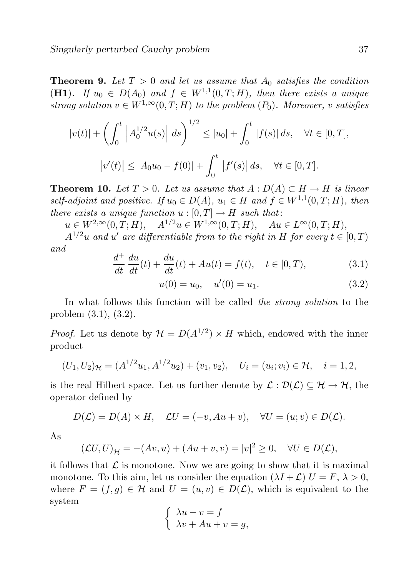**Theorem 9.** Let  $T > 0$  and let us assume that  $A_0$  satisfies the condition (H1). If  $u_0 \in D(A_0)$  and  $f \in W^{1,1}(0,T;H)$ , then there exists a unique strong solution  $v \in W^{1,\infty}(0,T;H)$  to the problem  $(P_0)$ . Moreover, v satisfies

$$
|v(t)| + \left(\int_0^t \left|A_0^{1/2}u(s)\right| \, ds\right)^{1/2} \le |u_0| + \int_0^t |f(s)| \, ds, \quad \forall t \in [0, T],
$$
  

$$
|v'(t)| \le |A_0u_0 - f(0)| + \int_0^t |f'(s)| \, ds, \quad \forall t \in [0, T].
$$

**Theorem 10.** Let  $T > 0$ . Let us assume that  $A : D(A) \subset H \to H$  is linear self-adjoint and positive. If  $u_0 \in D(A)$ ,  $u_1 \in H$  and  $f \in W^{1,1}(0,T;H)$ , then there exists a unique function  $u : [0, T] \to H$  such that:

 $u \in W^{2,\infty}(0, T; H), \quad A^{1/2}u \in W^{1,\infty}(0, T; H), \quad Au \in L^{\infty}(0, T; H),$ 

 $A^{1/2}u$  and u' are differentiable from to the right in H for every  $t \in [0, T)$ and

$$
\frac{d^+}{dt}\frac{du}{dt}(t) + \frac{du}{dt}(t) + Au(t) = f(t), \quad t \in [0, T),
$$
\n(3.1)

$$
u(0) = u_0, \quad u'(0) = u_1. \tag{3.2}
$$

In what follows this function will be called the strong solution to the problem (3.1), (3.2).

*Proof.* Let us denote by  $\mathcal{H} = D(A^{1/2}) \times H$  which, endowed with the inner product

$$
(U_1, U_2)_{\mathcal{H}} = (A^{1/2}u_1, A^{1/2}u_2) + (v_1, v_2), \quad U_i = (u_i; v_i) \in \mathcal{H}, \quad i = 1, 2,
$$

is the real Hilbert space. Let us further denote by  $\mathcal{L}: \mathcal{D}(\mathcal{L}) \subseteq \mathcal{H} \to \mathcal{H}$ , the operator defined by

$$
D(\mathcal{L}) = D(A) \times H, \quad \mathcal{L}U = (-v, Au + v), \quad \forall U = (u; v) \in D(\mathcal{L}).
$$

As

$$
(\mathcal{L}U, U)_{\mathcal{H}} = -(Av, u) + (Au + v, v) = |v|^2 \ge 0, \quad \forall U \in D(\mathcal{L}),
$$

it follows that  $\mathcal L$  is monotone. Now we are going to show that it is maximal monotone. To this aim, let us consider the equation  $(\lambda I + \mathcal{L}) U = F, \lambda > 0$ , where  $F = (f, g) \in \mathcal{H}$  and  $U = (u, v) \in D(\mathcal{L})$ , which is equivalent to the system

$$
\begin{cases} \lambda u - v = f \\ \lambda v + Au + v = g, \end{cases}
$$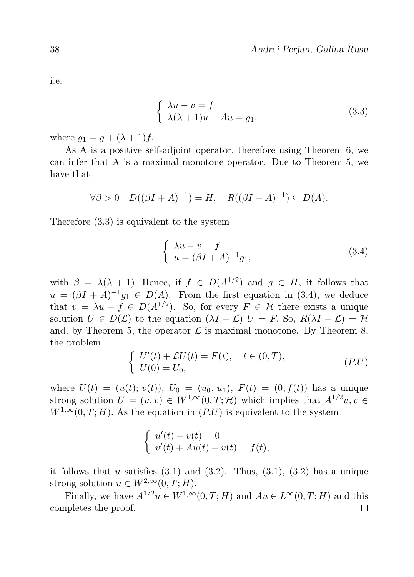i.e.

$$
\begin{cases}\n\lambda u - v = f \\
\lambda (\lambda + 1)u + Au = g_1,\n\end{cases}
$$
\n(3.3)

where  $g_1 = g + (\lambda + 1)f$ .

As A is a positive self-adjoint operator, therefore using Theorem 6, we can infer that A is a maximal monotone operator. Due to Theorem 5, we have that

$$
\forall \beta > 0 \quad D((\beta I + A)^{-1}) = H, \quad R((\beta I + A)^{-1}) \subseteq D(A).
$$

Therefore (3.3) is equivalent to the system

$$
\begin{cases}\n\lambda u - v = f \\
u = (\beta I + A)^{-1} g_1,\n\end{cases}
$$
\n(3.4)

with  $\beta = \lambda(\lambda + 1)$ . Hence, if  $f \in D(A^{1/2})$  and  $g \in H$ , it follows that  $u = (\beta I + A)^{-1}g_1 \in D(A)$ . From the first equation in (3.4), we deduce that  $v = \lambda u - f \in D(A^{1/2})$ . So, for every  $F \in \mathcal{H}$  there exists a unique solution  $U \in D(\mathcal{L})$  to the equation  $(\lambda I + \mathcal{L}) U = F$ . So,  $R(\lambda I + \mathcal{L}) = H$ . and, by Theorem 5, the operator  $\mathcal L$  is maximal monotone. By Theorem 8, the problem

$$
\begin{cases}\nU'(t) + \mathcal{L}U(t) = F(t), & t \in (0, T), \\
U(0) = U_0,\n\end{cases}
$$
\n
$$
(P.U)
$$

where  $U(t) = (u(t); v(t)), U_0 = (u_0, u_1), F(t) = (0, f(t))$  has a unique strong solution  $U = (u, v) \in W^{1, \infty}(0, T; \mathcal{H})$  which implies that  $A^{1/2}u, v \in$  $W^{1,\infty}(0,T;H)$ . As the equation in  $(P.U)$  is equivalent to the system

$$
\begin{cases}\n u'(t) - v(t) = 0 \\
 v'(t) + Au(t) + v(t) = f(t),\n\end{cases}
$$

it follows that u satisfies  $(3.1)$  and  $(3.2)$ . Thus,  $(3.1)$ ,  $(3.2)$  has a unique strong solution  $u \in W^{2,\infty}(0,T;H)$ .

Finally, we have  $A^{1/2}u \in W^{1,\infty}(0,T;H)$  and  $Au \in L^{\infty}(0,T;H)$  and this completes the proof. $\Box$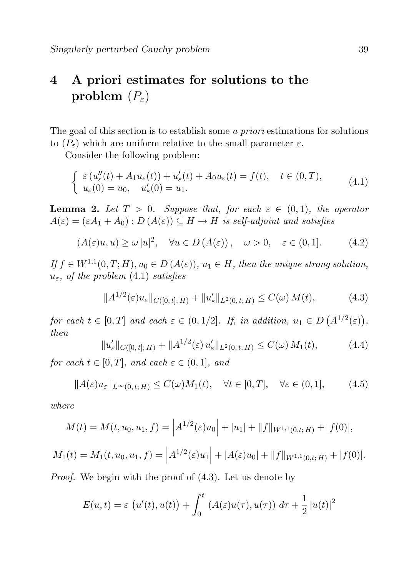## 4 A priori estimates for solutions to the problem  $(P_{\varepsilon})$

The goal of this section is to establish some a priori estimations for solutions to  $(P_{\varepsilon})$  which are uniform relative to the small parameter  $\varepsilon$ .

Consider the following problem:

$$
\begin{cases}\n\varepsilon (u''_{\varepsilon}(t) + A_1 u_{\varepsilon}(t)) + u'_{\varepsilon}(t) + A_0 u_{\varepsilon}(t) = f(t), \quad t \in (0, T), \\
u_{\varepsilon}(0) = u_0, \quad u'_{\varepsilon}(0) = u_1.\n\end{cases} (4.1)
$$

**Lemma 2.** Let  $T > 0$ . Suppose that, for each  $\varepsilon \in (0,1)$ , the operator  $A(\varepsilon) = (\varepsilon A_1 + A_0) : D(A(\varepsilon)) \subseteq H \to H$  is self-adjoint and satisfies

$$
(A(\varepsilon)u, u) \ge \omega |u|^2, \quad \forall u \in D(A(\varepsilon)), \quad \omega > 0, \quad \varepsilon \in (0, 1]. \tag{4.2}
$$

If  $f \in W^{1,1}(0,T;H)$ ,  $u_0 \in D(A(\varepsilon))$ ,  $u_1 \in H$ , then the unique strong solution,  $u_{\varepsilon}$ , of the problem (4.1) satisfies

$$
||A^{1/2}(\varepsilon)u_{\varepsilon}||_{C([0,t];H)} + ||u'_{\varepsilon}||_{L^{2}(0,t;H)} \leq C(\omega) M(t), \qquad (4.3)
$$

for each  $t \in [0,T]$  and each  $\varepsilon \in (0,1/2]$ . If, in addition,  $u_1 \in D(A^{1/2}(\varepsilon))$ , then

$$
||u'_{\varepsilon}||_{C([0,t];H)} + ||A^{1/2}(\varepsilon) u'_{\varepsilon}||_{L^{2}(0,t;H)} \leq C(\omega) M_1(t), \tag{4.4}
$$

for each  $t \in [0, T]$ , and each  $\varepsilon \in (0, 1]$ , and

$$
||A(\varepsilon)u_{\varepsilon}||_{L^{\infty}(0,t;H)} \leq C(\omega)M_1(t), \quad \forall t \in [0,T], \quad \forall \varepsilon \in (0,1], \tag{4.5}
$$

where

$$
M(t) = M(t, u_0, u_1, f) = \left| A^{1/2}(\varepsilon)u_0 \right| + |u_1| + \|f\|_{W^{1,1}(0,t;H)} + |f(0)|,
$$

$$
M_1(t) = M_1(t, u_0, u_1, f) = \left| A^{1/2}(\varepsilon)u_1 \right| + |A(\varepsilon)u_0| + ||f||_{W^{1,1}(0,t;H)} + |f(0)|.
$$

Proof. We begin with the proof of (4.3). Let us denote by

$$
E(u,t) = \varepsilon \left( u'(t), u(t) \right) + \int_0^t \left( A(\varepsilon)u(\tau), u(\tau) \right) d\tau + \frac{1}{2} |u(t)|^2
$$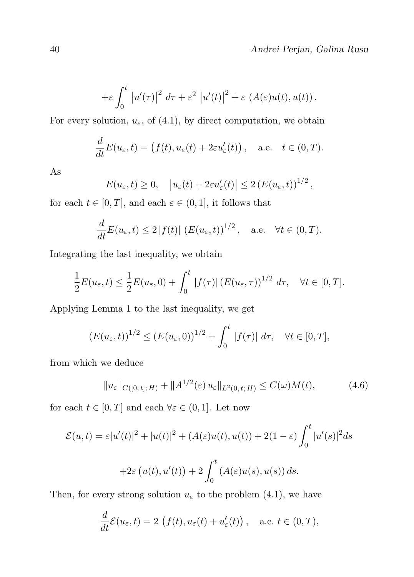$$
+\varepsilon \int_0^t |u'(\tau)|^2 d\tau + \varepsilon^2 |u'(t)|^2 + \varepsilon (A(\varepsilon)u(t), u(t)).
$$

For every solution,  $u_{\varepsilon}$ , of (4.1), by direct computation, we obtain

$$
\frac{d}{dt}E(u_{\varepsilon},t) = (f(t), u_{\varepsilon}(t) + 2\varepsilon u'_{\varepsilon}(t)), \quad \text{a.e.} \quad t \in (0,T).
$$

As

$$
E(u_{\varepsilon},t) \ge 0
$$
,  $|u_{\varepsilon}(t) + 2\varepsilon u'_{\varepsilon}(t)| \le 2 (E(u_{\varepsilon},t))^{1/2}$ ,

for each  $t \in [0, T]$ , and each  $\varepsilon \in (0, 1]$ , it follows that

$$
\frac{d}{dt}E(u_{\varepsilon},t) \le 2|f(t)| (E(u_{\varepsilon},t))^{1/2}, \quad \text{a.e.} \quad \forall t \in (0,T).
$$

Integrating the last inequality, we obtain

$$
\frac{1}{2}E(u_{\varepsilon},t) \leq \frac{1}{2}E(u_{\varepsilon},0) + \int_0^t |f(\tau)| (E(u_{\varepsilon},\tau))^{1/2} d\tau, \quad \forall t \in [0,T].
$$

Applying Lemma 1 to the last inequality, we get

$$
(E(u_{\varepsilon},t))^{1/2} \le (E(u_{\varepsilon},0))^{1/2} + \int_0^t |f(\tau)| d\tau, \quad \forall t \in [0,T],
$$

from which we deduce

$$
||u_{\varepsilon}||_{C([0,t];H)} + ||A^{1/2}(\varepsilon) u_{\varepsilon}||_{L^{2}(0,t;H)} \leq C(\omega)M(t), \qquad (4.6)
$$

for each  $t \in [0, T]$  and each  $\forall \varepsilon \in (0, 1]$ . Let now

$$
\mathcal{E}(u,t) = \varepsilon |u'(t)|^2 + |u(t)|^2 + (A(\varepsilon)u(t), u(t)) + 2(1 - \varepsilon) \int_0^t |u'(s)|^2 ds
$$
  
+2\varepsilon (u(t), u'(t)) + 2 \int\_0^t (A(\varepsilon)u(s), u(s)) ds.

Then, for every strong solution  $u_{\varepsilon}$  to the problem (4.1), we have

$$
\frac{d}{dt}\mathcal{E}(u_{\varepsilon},t) = 2\left(f(t), u_{\varepsilon}(t) + u'_{\varepsilon}(t)\right), \quad \text{a.e. } t \in (0,T),
$$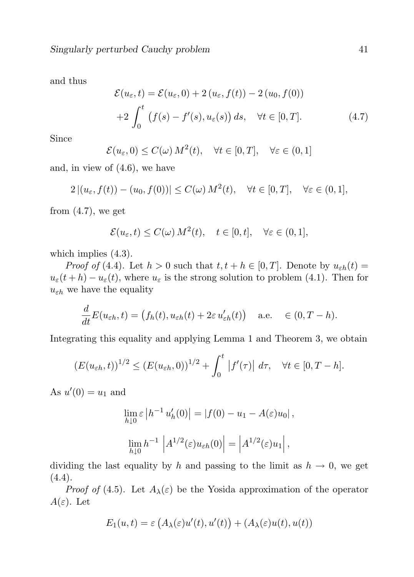and thus

$$
\mathcal{E}(u_{\varepsilon},t) = \mathcal{E}(u_{\varepsilon},0) + 2(u_{\varepsilon},f(t)) - 2(u_0,f(0))
$$
  
+2
$$
\int_0^t (f(s) - f'(s), u_{\varepsilon}(s)) ds, \quad \forall t \in [0,T].
$$
 (4.7)

Since

$$
\mathcal{E}(u_{\varepsilon},0) \le C(\omega) M^2(t), \quad \forall t \in [0,T], \quad \forall \varepsilon \in (0,1]
$$

and, in view of (4.6), we have

$$
2 | (u_{\varepsilon}, f(t)) - (u_0, f(0)) | \le C(\omega) M^2(t), \quad \forall t \in [0, T], \quad \forall \varepsilon \in (0, 1],
$$

from  $(4.7)$ , we get

$$
\mathcal{E}(u_{\varepsilon},t) \le C(\omega) M^2(t), \quad t \in [0,t], \quad \forall \varepsilon \in (0,1],
$$

which implies (4.3).

*Proof of* (4.4). Let  $h > 0$  such that  $t, t + h \in [0, T]$ . Denote by  $u_{\varepsilon h}(t) =$  $u_{\varepsilon}(t+h) - u_{\varepsilon}(t)$ , where  $u_{\varepsilon}$  is the strong solution to problem (4.1). Then for  $u_{\varepsilon h}$  we have the equality

$$
\frac{d}{dt}E(u_{\varepsilon h},t) = (f_h(t), u_{\varepsilon h}(t) + 2\varepsilon u'_{\varepsilon h}(t)) \quad \text{a.e.} \quad \in (0, T - h).
$$

Integrating this equality and applying Lemma 1 and Theorem 3, we obtain

$$
(E(u_{\varepsilon h},t))^{1/2} \le (E(u_{\varepsilon h},0))^{1/2} + \int_0^t |f'(\tau)| d\tau, \quad \forall t \in [0,T-h].
$$

As  $u'(0) = u_1$  and

$$
\lim_{h \downarrow 0} \varepsilon |h^{-1} u'_h(0)| = |f(0) - u_1 - A(\varepsilon)u_0|,
$$
  

$$
\lim_{h \downarrow 0} h^{-1} |A^{1/2}(\varepsilon)u_{\varepsilon h}(0)| = |A^{1/2}(\varepsilon)u_1|,
$$

dividing the last equality by h and passing to the limit as  $h \to 0$ , we get  $(4.4).$ 

*Proof of* (4.5). Let  $A_{\lambda}(\varepsilon)$  be the Yosida approximation of the operator  $A(\varepsilon)$ . Let

$$
E_1(u,t) = \varepsilon \left( A_\lambda(\varepsilon) u'(t), u'(t) \right) + \left( A_\lambda(\varepsilon) u(t), u(t) \right)
$$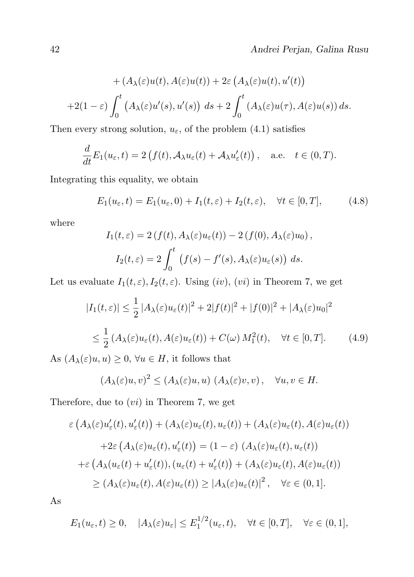+
$$
(A_{\lambda}(\varepsilon)u(t), A(\varepsilon)u(t))
$$
 +  $2\varepsilon (A_{\lambda}(\varepsilon)u(t), u'(t))$   
+ $2(1 - \varepsilon) \int_0^t (A_{\lambda}(\varepsilon)u'(s), u'(s)) ds + 2 \int_0^t (A_{\lambda}(\varepsilon)u(\tau), A(\varepsilon)u(s)) ds.$ 

Then every strong solution,  $u_{\varepsilon}$ , of the problem (4.1) satisfies

$$
\frac{d}{dt}E_1(u_{\varepsilon},t) = 2\left(f(t), \mathcal{A}_{\lambda}u_{\varepsilon}(t) + \mathcal{A}_{\lambda}u'_{\varepsilon}(t)\right), \quad \text{a.e.} \quad t \in (0,T).
$$

Integrating this equality, we obtain

$$
E_1(u_{\varepsilon}, t) = E_1(u_{\varepsilon}, 0) + I_1(t, \varepsilon) + I_2(t, \varepsilon), \quad \forall t \in [0, T], \tag{4.8}
$$

where

$$
I_1(t,\varepsilon) = 2(f(t), A_\lambda(\varepsilon)u_\varepsilon(t)) - 2(f(0), A_\lambda(\varepsilon)u_0),
$$
  

$$
I_2(t,\varepsilon) = 2\int_0^t (f(s) - f'(s), A_\lambda(\varepsilon)u_\varepsilon(s)) ds.
$$

Let us evaluate  $I_1(t, \varepsilon), I_2(t, \varepsilon)$ . Using  $(iv)$ ,  $(vi)$  in Theorem 7, we get

$$
|I_1(t,\varepsilon)| \le \frac{1}{2} |A_\lambda(\varepsilon)u_\varepsilon(t)|^2 + 2|f(t)|^2 + |f(0)|^2 + |A_\lambda(\varepsilon)u_0|^2
$$
  

$$
\le \frac{1}{2} (A_\lambda(\varepsilon)u_\varepsilon(t), A(\varepsilon)u_\varepsilon(t)) + C(\omega) M_1^2(t), \quad \forall t \in [0, T]. \tag{4.9}
$$

As  $(A_{\lambda}(\varepsilon)u, u) \geq 0, \forall u \in H$ , it follows that

$$
(A_{\lambda}(\varepsilon)u,v)^{2} \leq (A_{\lambda}(\varepsilon)u,u) \ (A_{\lambda}(\varepsilon)v,v), \quad \forall u,v \in H.
$$

Therefore, due to  $(vi)$  in Theorem 7, we get

$$
\varepsilon (A_{\lambda}(\varepsilon)u_{\varepsilon}'(t), u_{\varepsilon}'(t)) + (A_{\lambda}(\varepsilon)u_{\varepsilon}(t), u_{\varepsilon}(t)) + (A_{\lambda}(\varepsilon)u_{\varepsilon}(t), A(\varepsilon)u_{\varepsilon}(t)) \n+2\varepsilon (A_{\lambda}(\varepsilon)u_{\varepsilon}(t), u_{\varepsilon}'(t)) = (1 - \varepsilon) (A_{\lambda}(\varepsilon)u_{\varepsilon}(t), u_{\varepsilon}(t)) \n+ \varepsilon (A_{\lambda}(u_{\varepsilon}(t) + u_{\varepsilon}'(t)), (u_{\varepsilon}(t) + u_{\varepsilon}'(t)) + (A_{\lambda}(\varepsilon)u_{\varepsilon}(t), A(\varepsilon)u_{\varepsilon}(t)) \n\ge (A_{\lambda}(\varepsilon)u_{\varepsilon}(t), A(\varepsilon)u_{\varepsilon}(t)) \ge |A_{\lambda}(\varepsilon)u_{\varepsilon}(t)|^2, \quad \forall \varepsilon \in (0, 1].
$$

As

$$
E_1(u_{\varepsilon},t) \ge 0, \quad |A_{\lambda}(\varepsilon)u_{\varepsilon}| \le E_1^{1/2}(u_{\varepsilon},t), \quad \forall t \in [0,T], \quad \forall \varepsilon \in (0,1],
$$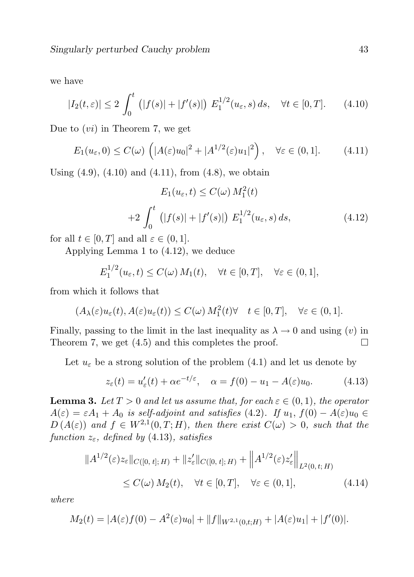we have

$$
|I_2(t,\varepsilon)| \le 2 \int_0^t (|f(s)| + |f'(s)|) E_1^{1/2}(u_\varepsilon, s) ds, \quad \forall t \in [0, T]. \tag{4.10}
$$

Due to  $(v_i)$  in Theorem 7, we get

$$
E_1(u_{\varepsilon},0) \le C(\omega) \left( |A(\varepsilon)u_0|^2 + |A^{1/2}(\varepsilon)u_1|^2 \right), \quad \forall \varepsilon \in (0,1]. \tag{4.11}
$$

Using  $(4.9)$ ,  $(4.10)$  and  $(4.11)$ , from  $(4.8)$ , we obtain

$$
E_1(u_{\varepsilon}, t) \le C(\omega) M_1^2(t)
$$
  
+2  $\int_0^t (|f(s)| + |f'(s)|) E_1^{1/2}(u_{\varepsilon}, s) ds,$  (4.12)

for all  $t \in [0, T]$  and all  $\varepsilon \in (0, 1]$ .

Applying Lemma 1 to (4.12), we deduce

$$
E_1^{1/2}(u_{\varepsilon},t) \le C(\omega) M_1(t), \quad \forall t \in [0,T], \quad \forall \varepsilon \in (0,1],
$$

from which it follows that

$$
(A_{\lambda}(\varepsilon)u_{\varepsilon}(t), A(\varepsilon)u_{\varepsilon}(t)) \leq C(\omega) M_1^2(t) \forall \quad t \in [0, T], \quad \forall \varepsilon \in (0, 1].
$$

Finally, passing to the limit in the last inequality as  $\lambda \to 0$  and using (v) in Theorem 7, we get (4.5) and this completes the proof.  $\Box$ 

Let  $u_{\varepsilon}$  be a strong solution of the problem (4.1) and let us denote by

$$
z_{\varepsilon}(t) = u_{\varepsilon}'(t) + \alpha e^{-t/\varepsilon}, \quad \alpha = f(0) - u_1 - A(\varepsilon)u_0.
$$
 (4.13)

**Lemma 3.** Let  $T > 0$  and let us assume that, for each  $\varepsilon \in (0,1)$ , the operator  $A(\varepsilon) = \varepsilon A_1 + A_0$  is self-adjoint and satisfies (4.2). If  $u_1, f(0) - A(\varepsilon)u_0 \in$  $D(A(\varepsilon))$  and  $f \in W^{2,1}(0,T;H)$ , then there exist  $C(\omega) > 0$ , such that the function  $z_{\varepsilon}$ , defined by (4.13), satisfies

$$
\|A^{1/2}(\varepsilon)z_{\varepsilon}\|_{C([0, t]; H)} + \|z'_{\varepsilon}\|_{C([0, t]; H)} + \|A^{1/2}(\varepsilon)z'_{\varepsilon}\|_{L^{2}(0, t; H)}
$$
  
\n
$$
\leq C(\omega) M_2(t), \quad \forall t \in [0, T], \quad \forall \varepsilon \in (0, 1], \tag{4.14}
$$

where

$$
M_2(t) = |A(\varepsilon)f(0) - A^2(\varepsilon)u_0| + ||f||_{W^{2,1}(0,t;H)} + |A(\varepsilon)u_1| + |f'(0)|.
$$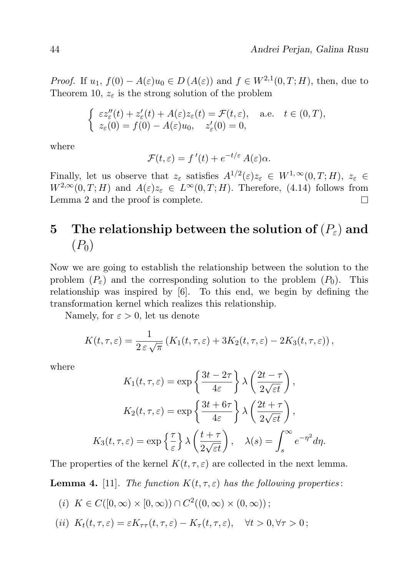*Proof.* If  $u_1, f(0) - A(\varepsilon)u_0 \in D(A(\varepsilon))$  and  $f \in W^{2,1}(0,T;H)$ , then, due to Theorem 10,  $z_{\epsilon}$  is the strong solution of the problem

$$
\begin{cases}\n\varepsilon z''_{\varepsilon}(t) + z'_{\varepsilon}(t) + A(\varepsilon)z_{\varepsilon}(t) = \mathcal{F}(t, \varepsilon), & \text{a.e.} \quad t \in (0, T), \\
z_{\varepsilon}(0) = f(0) - A(\varepsilon)u_0, \quad z'_{\varepsilon}(0) = 0,\n\end{cases}
$$

where

$$
\mathcal{F}(t,\varepsilon) = f'(t) + e^{-t/\varepsilon} A(\varepsilon) \alpha.
$$

Finally, let us observe that  $z_{\varepsilon}$  satisfies  $A^{1/2}(\varepsilon)z_{\varepsilon} \in W^{1,\infty}(0,T;H)$ ,  $z_{\varepsilon} \in$  $W^{2,\infty}(0,T;H)$  and  $A(\varepsilon)z_{\varepsilon} \in L^{\infty}(0,T;H)$ . Therefore, (4.14) follows from Lemma 2 and the proof is complete.  $\Box$ 

### 5 The relationship between the solution of  $(P_{\varepsilon})$  and  $(P_0)$

Now we are going to establish the relationship between the solution to the problem  $(P_{\varepsilon})$  and the corresponding solution to the problem  $(P_0)$ . This relationship was inspired by [6]. To this end, we begin by defining the transformation kernel which realizes this relationship.

Namely, for  $\varepsilon > 0$ , let us denote

$$
K(t, \tau, \varepsilon) = \frac{1}{2 \varepsilon \sqrt{\pi}} \left( K_1(t, \tau, \varepsilon) + 3K_2(t, \tau, \varepsilon) - 2K_3(t, \tau, \varepsilon) \right),
$$

where

$$
K_1(t, \tau, \varepsilon) = \exp\left\{\frac{3t - 2\tau}{4\varepsilon}\right\} \lambda \left(\frac{2t - \tau}{2\sqrt{\varepsilon t}}\right),
$$

$$
K_2(t, \tau, \varepsilon) = \exp\left\{\frac{3t + 6\tau}{4\varepsilon}\right\} \lambda \left(\frac{2t + \tau}{2\sqrt{\varepsilon t}}\right),
$$

$$
K_3(t, \tau, \varepsilon) = \exp\left\{\frac{\tau}{\varepsilon}\right\} \lambda \left(\frac{t + \tau}{2\sqrt{\varepsilon t}}\right), \quad \lambda(s) = \int_s^\infty e^{-\eta^2} d\eta.
$$

The properties of the kernel  $K(t, \tau, \varepsilon)$  are collected in the next lemma.

**Lemma 4.** [11]. The function  $K(t, \tau, \varepsilon)$  has the following properties:

- (i)  $K \in C([0,\infty) \times [0,\infty)) \cap C^2((0,\infty) \times (0,\infty))$ ;
- (ii)  $K_t(t, \tau, \varepsilon) = \varepsilon K_{\tau \tau}(t, \tau, \varepsilon) K_{\tau}(t, \tau, \varepsilon), \quad \forall t > 0, \forall \tau > 0$ ;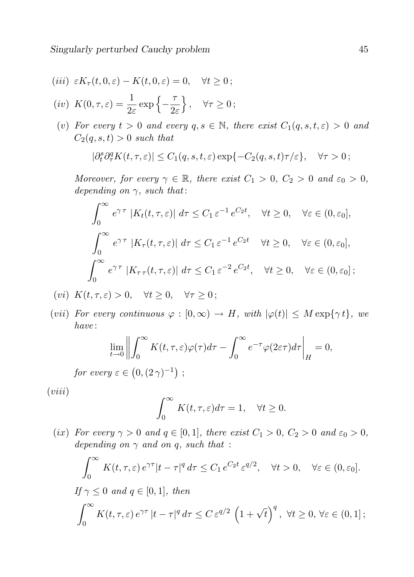$$
(iii) \varepsilon K_{\tau}(t,0,\varepsilon) - K(t,0,\varepsilon) = 0, \quad \forall t \ge 0;
$$

$$
(iv) K(0, \tau, \varepsilon) = \frac{1}{2\varepsilon} \exp\left\{-\frac{\tau}{2\varepsilon}\right\}, \quad \forall \tau \ge 0;
$$

(v) For every  $t > 0$  and every  $q, s \in \mathbb{N}$ , there exist  $C_1(q, s, t, \varepsilon) > 0$  and  $C_2(q, s, t) > 0$  such that

$$
|\partial_t^s \partial_\tau^q K(t,\tau,\varepsilon)| \leq C_1(q,s,t,\varepsilon) \exp\{-C_2(q,s,t)\tau/\varepsilon\}, \quad \forall \tau > 0;
$$

Moreover, for every  $\gamma \in \mathbb{R}$ , there exist  $C_1 > 0$ ,  $C_2 > 0$  and  $\varepsilon_0 > 0$ , depending on  $\gamma$ , such that:

$$
\int_0^\infty e^{\gamma \tau} |K_t(t, \tau, \varepsilon)| d\tau \leq C_1 \varepsilon^{-1} e^{C_2 t}, \quad \forall t \geq 0, \quad \forall \varepsilon \in (0, \varepsilon_0],
$$

$$
\int_0^\infty e^{\gamma \tau} |K_\tau(t, \tau, \varepsilon)| d\tau \leq C_1 \varepsilon^{-1} e^{C_2 t} \quad \forall t \geq 0, \quad \forall \varepsilon \in (0, \varepsilon_0],
$$

$$
\int_0^\infty e^{\gamma \tau} |K_{\tau \tau}(t, \tau, \varepsilon)| d\tau \leq C_1 \varepsilon^{-2} e^{C_2 t}, \quad \forall t \geq 0, \quad \forall \varepsilon \in (0, \varepsilon_0];
$$

- (vi)  $K(t, \tau, \varepsilon) > 0$ ,  $\forall t \geq 0$ ,  $\forall \tau \geq 0$ ;
- (vii) For every continuous  $\varphi : [0, \infty) \to H$ , with  $|\varphi(t)| \leq M \exp{\{\gamma t\}}$ , we have :

$$
\lim_{t \to 0} \left\| \int_0^\infty K(t, \tau, \varepsilon) \varphi(\tau) d\tau - \int_0^\infty e^{-\tau} \varphi(2\varepsilon \tau) d\tau \right\|_H = 0,
$$
  
where  $\varepsilon \in (0, (2\gamma)^{-1})$ .

for every  $\varepsilon \in (0, (2\gamma)^{-1})$ ;

 $(viii)$ 

$$
\int_0^\infty K(t,\tau,\varepsilon)d\tau=1, \quad \forall t \ge 0.
$$

(ix) For every  $\gamma > 0$  and  $q \in [0,1]$ , there exist  $C_1 > 0$ ,  $C_2 > 0$  and  $\varepsilon_0 > 0$ , depending on  $\gamma$  and on q, such that :

$$
\int_0^\infty K(t,\tau,\varepsilon) e^{\gamma \tau} |t-\tau|^q d\tau \le C_1 e^{C_2 t} \varepsilon^{q/2}, \quad \forall t > 0, \quad \forall \varepsilon \in (0,\varepsilon_0].
$$
  
If  $\gamma \le 0$  and  $q \in [0,1]$ , then  

$$
\int_0^\infty K(t,\tau,\varepsilon) e^{\gamma \tau} |t-\tau|^q d\tau \le C \varepsilon^{q/2} \left(1+\sqrt{t}\right)^q, \quad \forall t \ge 0, \forall \varepsilon \in (0,1];
$$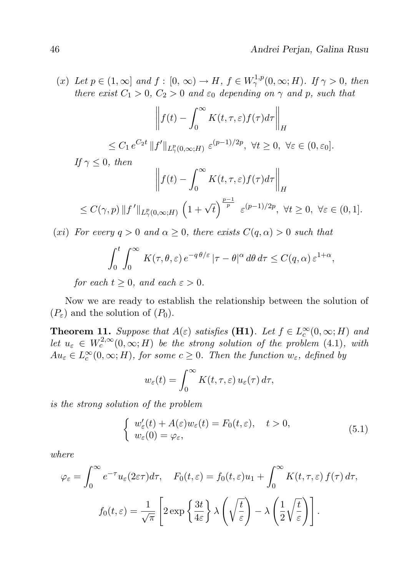(x) Let  $p \in (1,\infty]$  and  $f : [0,\infty) \to H$ ,  $f \in W^{1,p}_{\gamma}(0,\infty;H)$ . If  $\gamma > 0$ , then there exist  $C_1 > 0$ ,  $C_2 > 0$  and  $\varepsilon_0$  depending on  $\gamma$  and p, such that

$$
\left\| f(t) - \int_0^\infty K(t, \tau, \varepsilon) f(\tau) d\tau \right\|_H
$$
  

$$
\leq C_1 e^{C_2 t} \|f'\|_{L^p_\gamma(0,\infty;H)} \varepsilon^{(p-1)/2p}, \ \forall t \geq 0, \ \forall \varepsilon \in (0,\varepsilon_0].
$$

If  $\gamma$  < 0, then

$$
\left\| f(t) - \int_0^\infty K(t, \tau, \varepsilon) f(\tau) d\tau \right\|_H
$$
  
\n
$$
\leq C(\gamma, p) \| f' \|_{L_\gamma^p(0, \infty; H)} \left( 1 + \sqrt{t} \right)^{\frac{p-1}{p}} \varepsilon^{(p-1)/2p}, \ \forall t \geq 0, \ \forall \varepsilon \in (0, 1].
$$

(xi) For every  $q > 0$  and  $\alpha \geq 0$ , there exists  $C(q, \alpha) > 0$  such that

$$
\int_0^t \int_0^\infty K(\tau,\theta,\varepsilon) e^{-q\theta/\varepsilon} |\tau - \theta|^\alpha d\theta d\tau \le C(q,\alpha) \varepsilon^{1+\alpha},
$$

for each  $t \geq 0$ , and each  $\varepsilon > 0$ .

Now we are ready to establish the relationship between the solution of  $(P_{\varepsilon})$  and the solution of  $(P_0)$ .

**Theorem 11.** Suppose that  $A(\varepsilon)$  satisfies (**H1**). Let  $f \in L_c^{\infty}(0, \infty; H)$  and let  $u_{\varepsilon} \in W_c^{2,\infty}(0,\infty;H)$  be the strong solution of the problem (4.1), with  $Au_{\varepsilon} \in L^{\infty}_c(0,\infty;H)$ , for some  $c \geq 0$ . Then the function  $w_{\varepsilon}$ , defined by

$$
w_{\varepsilon}(t) = \int_0^{\infty} K(t, \tau, \varepsilon) u_{\varepsilon}(\tau) d\tau,
$$

is the strong solution of the problem

$$
\begin{cases}\nw'_{\varepsilon}(t) + A(\varepsilon)w_{\varepsilon}(t) = F_0(t, \varepsilon), & t > 0, \\
w_{\varepsilon}(0) = \varphi_{\varepsilon},\n\end{cases}
$$
\n(5.1)

where

$$
\varphi_{\varepsilon} = \int_0^{\infty} e^{-\tau} u_{\varepsilon} (2\varepsilon \tau) d\tau, \quad F_0(t, \varepsilon) = f_0(t, \varepsilon) u_1 + \int_0^{\infty} K(t, \tau, \varepsilon) f(\tau) d\tau,
$$

$$
f_0(t, \varepsilon) = \frac{1}{\sqrt{\pi}} \left[ 2 \exp \left\{ \frac{3t}{4\varepsilon} \right\} \lambda \left( \sqrt{\frac{t}{\varepsilon}} \right) - \lambda \left( \frac{1}{2} \sqrt{\frac{t}{\varepsilon}} \right) \right].
$$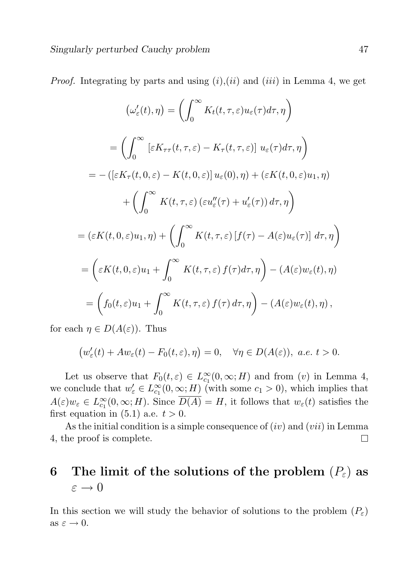*Proof.* Integrating by parts and using  $(i)$ ,  $(ii)$  and  $(iii)$  in Lemma 4, we get

$$
\left(\omega'_{\varepsilon}(t),\eta\right) = \left(\int_0^\infty K_t(t,\tau,\varepsilon)u_{\varepsilon}(\tau)d\tau,\eta\right)
$$

$$
= \left(\int_0^\infty \left[\varepsilon K_{\tau\tau}(t,\tau,\varepsilon) - K_\tau(t,\tau,\varepsilon)\right]u_{\varepsilon}(\tau)d\tau,\eta\right)
$$

$$
= -\left(\left[\varepsilon K_\tau(t,0,\varepsilon) - K(t,0,\varepsilon)\right]u_{\varepsilon}(0),\eta\right) + \left(\varepsilon K(t,0,\varepsilon)u_1,\eta\right)
$$

$$
+ \left(\int_0^\infty K(t,\tau,\varepsilon)\left(\varepsilon u''_{\varepsilon}(\tau) + u'_{\varepsilon}(\tau)\right)d\tau,\eta\right)
$$

$$
= \left(\varepsilon K(t,0,\varepsilon)u_1,\eta\right) + \left(\int_0^\infty K(t,\tau,\varepsilon)\left[f(\tau) - A(\varepsilon)u_{\varepsilon}(\tau)\right]d\tau,\eta\right)
$$

$$
= \left(\varepsilon K(t,0,\varepsilon)u_1 + \int_0^\infty K(t,\tau,\varepsilon)f(\tau)d\tau,\eta\right) - \left(A(\varepsilon)w_{\varepsilon}(t),\eta\right)
$$

$$
= \left(f_0(t,\varepsilon)u_1 + \int_0^\infty K(t,\tau,\varepsilon)f(\tau)d\tau,\eta\right) - \left(A(\varepsilon)w_{\varepsilon}(t),\eta\right),
$$

for each  $\eta \in D(A(\varepsilon))$ . Thus

$$
(w'_{\varepsilon}(t) + Aw_{\varepsilon}(t) - F_0(t, \varepsilon), \eta) = 0, \quad \forall \eta \in D(A(\varepsilon)), \ a.e. \ t > 0.
$$

Let us observe that  $F_0(t,\varepsilon) \in L_{c_1}^{\infty}(0,\infty;H)$  and from  $(v)$  in Lemma 4, we conclude that  $w'_{\varepsilon} \in L^{\infty}_{c_1}(0, \infty; H)$  (with some  $c_1 > 0$ ), which implies that  $A(\varepsilon)w_{\varepsilon} \in L^{\infty}_{c_1}(0,\infty;H)$ . Since  $\overline{D(A)} = H$ , it follows that  $w_{\varepsilon}(t)$  satisfies the first equation in  $(5.1)$  a.e.  $t > 0$ .

As the initial condition is a simple consequence of  $(iv)$  and  $(vii)$  in Lemma 4, the proof is complete.  $\Box$ 

### 6 The limit of the solutions of the problem  $(P_{\varepsilon})$  as  $\varepsilon \to 0$

In this section we will study the behavior of solutions to the problem  $(P_{\varepsilon})$ as  $\varepsilon \to 0$ .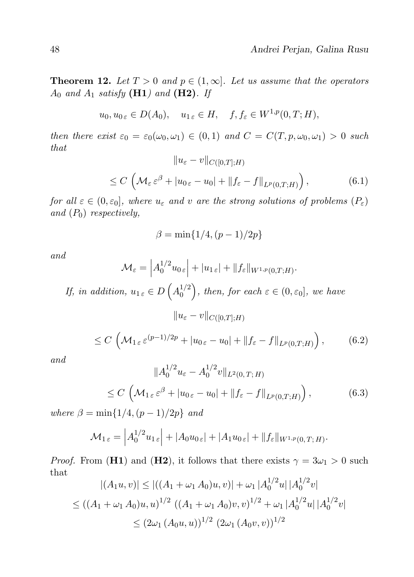**Theorem 12.** Let  $T > 0$  and  $p \in (1, \infty]$ . Let us assume that the operators  $A_0$  and  $A_1$  satisfy (**H1**) and (**H2**). If

$$
u_0, u_0 \in D(A_0), \quad u_{1 \varepsilon} \in H, \quad f, f_{\varepsilon} \in W^{1, p}(0, T; H),
$$

then there exist  $\varepsilon_0 = \varepsilon_0(\omega_0, \omega_1) \in (0, 1)$  and  $C = C(T, p, \omega_0, \omega_1) > 0$  such that

$$
||u_{\varepsilon} - v||_{C([0,T];H)}
$$
  
\n
$$
\leq C \left( \mathcal{M}_{\varepsilon} \varepsilon^{\beta} + |u_{0\,\varepsilon} - u_{0}| + ||f_{\varepsilon} - f||_{L^{p}(0,T;H)} \right),
$$
\n(6.1)

for all  $\varepsilon \in (0, \varepsilon_0]$ , where  $u_{\varepsilon}$  and v are the strong solutions of problems  $(P_{\varepsilon})$ and  $(P_0)$  respectively,

$$
\beta = \min\{1/4, (p-1)/2p\}
$$

and

$$
\mathcal{M}_{\varepsilon} = \left| A_0^{1/2} u_{0\,\varepsilon} \right| + |u_{1\,\varepsilon}| + \|f_{\varepsilon}\|_{W^{1,p}(0,T;H)}.
$$

If, in addition,  $u_{1\,\varepsilon} \in D\left(A_0^{1/2}\right)$  $\binom{1/2}{0}$ , then, for each  $\varepsilon \in (0, \varepsilon_0]$ , we have

 $||u_{\varepsilon} - v||_{C([0,T];H)}$ 

$$
\leq C\left(\mathcal{M}_{1\,\varepsilon}\,\varepsilon^{(p-1)/2p} + |u_{0\,\varepsilon} - u_0| + \|f_{\varepsilon} - f\|_{L^p(0,T;H)}\right),\tag{6.2}
$$

and

$$
||A_0^{1/2}u_{\varepsilon} - A_0^{1/2}v||_{L^2(0,T;H)}
$$
  
\n
$$
\leq C \left( \mathcal{M}_{1\varepsilon} \varepsilon^{\beta} + |u_{0\varepsilon} - u_0| + ||f_{\varepsilon} - f||_{L^p(0,T;H)} \right),
$$
\n(6.3)

where  $\beta = \min\{1/4, (p-1)/2p\}$  and

$$
\mathcal{M}_{1\,\varepsilon} = \left| A_0^{1/2} u_{1\,\varepsilon} \right| + \left| A_0 u_{0\,\varepsilon} \right| + \left| A_1 u_{0\,\varepsilon} \right| + \left\| f_\varepsilon \right\|_{W^{1,p}(0,T;H)}.
$$

*Proof.* From (H1) and (H2), it follows that there exists  $\gamma = 3\omega_1 > 0$  such that

$$
|(A_1u, v)| \le |((A_1 + \omega_1 A_0)u, v)| + \omega_1 |A_0^{1/2}u||A_0^{1/2}v|
$$
  
\n
$$
\le ((A_1 + \omega_1 A_0)u, u)^{1/2} ((A_1 + \omega_1 A_0)v, v)^{1/2} + \omega_1 |A_0^{1/2}u||A_0^{1/2}v|
$$
  
\n
$$
\le (2\omega_1 (A_0u, u))^{1/2} (2\omega_1 (A_0v, v))^{1/2}
$$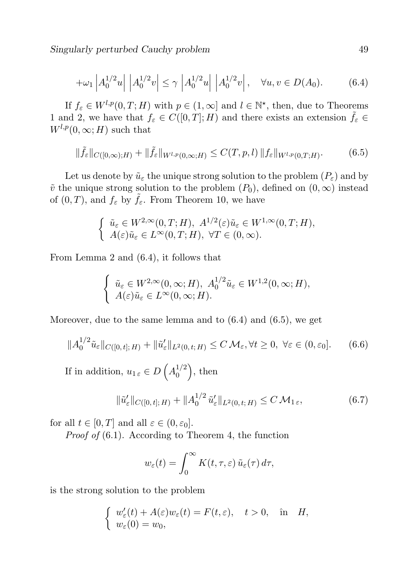$$
+\omega_1 \left| A_0^{1/2} u \right| \left| A_0^{1/2} v \right| \le \gamma \left| A_0^{1/2} u \right| \left| A_0^{1/2} v \right|, \quad \forall u, v \in D(A_0). \tag{6.4}
$$

If  $f_{\varepsilon} \in W^{l,p}(0,T;H)$  with  $p \in (1,\infty]$  and  $l \in \mathbb{N}^*$ , then, due to Theorems 1 and 2, we have that  $f_{\varepsilon} \in C([0,T];H)$  and there exists an extension  $\tilde{f}_{\varepsilon} \in$  $W^{l,p}(0,\infty;H)$  such that

$$
\|\tilde{f}_{\varepsilon}\|_{C([0,\infty);H)} + \|\tilde{f}_{\varepsilon}\|_{W^{l,p}(0,\infty;H)} \le C(T,p,l) \|f_{\varepsilon}\|_{W^{l,p}(0,T;H)}.
$$
 (6.5)

Let us denote by  $\tilde{u}_{\varepsilon}$  the unique strong solution to the problem  $(P_{\varepsilon})$  and by  $\tilde{v}$  the unique strong solution to the problem  $(P_0)$ , defined on  $(0, \infty)$  instead of  $(0, T)$ , and  $f_{\varepsilon}$  by  $\tilde{f}_{\varepsilon}$ . From Theorem 10, we have

$$
\begin{cases} \tilde{u}_{\varepsilon} \in W^{2,\infty}(0,T;H), \ A^{1/2}(\varepsilon)\tilde{u}_{\varepsilon} \in W^{1,\infty}(0,T;H), \\ A(\varepsilon)\tilde{u}_{\varepsilon} \in L^{\infty}(0,T;H), \ \forall T \in (0,\infty). \end{cases}
$$

From Lemma 2 and (6.4), it follows that

$$
\begin{cases} \tilde{u}_{\varepsilon} \in W^{2,\infty}(0,\infty;H), \ A_0^{1/2}\tilde{u}_{\varepsilon} \in W^{1,2}(0,\infty;H),\\ A(\varepsilon)\tilde{u}_{\varepsilon} \in L^{\infty}(0,\infty;H). \end{cases}
$$

Moreover, due to the same lemma and to (6.4) and (6.5), we get

$$
||A_0^{1/2}\tilde{u}_{\varepsilon}||_{C([0,t];H)} + ||\tilde{u}_{\varepsilon}'||_{L^2(0,t;H)} \le C \mathcal{M}_{\varepsilon}, \forall t \ge 0, \ \forall \varepsilon \in (0,\varepsilon_0]. \tag{6.6}
$$

If in addition,  $u_{1\,\varepsilon} \in D\left(A_0^{1/2}\right)$  $\binom{1/2}{0}$ , then

$$
\|\tilde{u}'_{\varepsilon}\|_{C([0,t];H)} + \|A_0^{1/2} \tilde{u}'_{\varepsilon}\|_{L^2(0,t;H)} \le C \mathcal{M}_{1\varepsilon},\tag{6.7}
$$

for all  $t \in [0, T]$  and all  $\varepsilon \in (0, \varepsilon_0]$ .

Proof of (6.1). According to Theorem 4, the function

$$
w_{\varepsilon}(t) = \int_0^\infty K(t,\tau,\varepsilon) \, \tilde{u}_{\varepsilon}(\tau) \, d\tau,
$$

is the strong solution to the problem

$$
\begin{cases} w'_{\varepsilon}(t) + A(\varepsilon)w_{\varepsilon}(t) = F(t, \varepsilon), \quad t > 0, \quad \text{in} \quad H, \\ w_{\varepsilon}(0) = w_0, \end{cases}
$$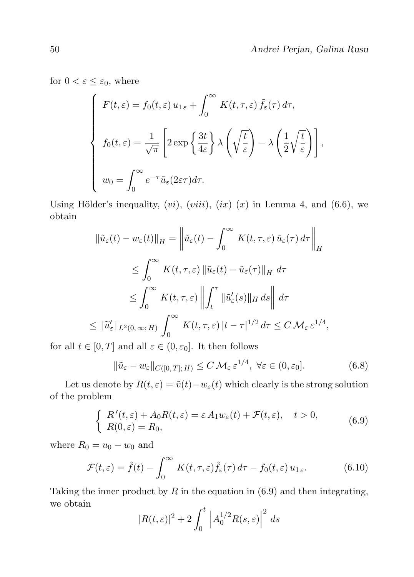for  $0 < \varepsilon \leq \varepsilon_0$ , where

$$
\begin{cases}\nF(t,\varepsilon) = f_0(t,\varepsilon) u_{1\varepsilon} + \int_0^\infty K(t,\tau,\varepsilon) \tilde{f}_\varepsilon(\tau) d\tau, \\
f_0(t,\varepsilon) = \frac{1}{\sqrt{\pi}} \left[ 2 \exp\left\{ \frac{3t}{4\varepsilon} \right\} \lambda \left( \sqrt{\frac{t}{\varepsilon}} \right) - \lambda \left( \frac{1}{2} \sqrt{\frac{t}{\varepsilon}} \right) \right], \\
w_0 = \int_0^\infty e^{-\tau} \tilde{u}_\varepsilon(2\varepsilon\tau) d\tau.\n\end{cases}
$$

Using Hölder's inequality,  $(vi)$ ,  $(viii)$ ,  $(ix)$   $(x)$  in Lemma 4, and  $(6.6)$ , we obtain

$$
\|\tilde{u}_{\varepsilon}(t) - w_{\varepsilon}(t)\|_{H} = \left\|\tilde{u}_{\varepsilon}(t) - \int_{0}^{\infty} K(t, \tau, \varepsilon) \tilde{u}_{\varepsilon}(\tau) d\tau\right\|_{H}
$$
  
\n
$$
\leq \int_{0}^{\infty} K(t, \tau, \varepsilon) \|\tilde{u}_{\varepsilon}(t) - \tilde{u}_{\varepsilon}(\tau)\|_{H} d\tau
$$
  
\n
$$
\leq \int_{0}^{\infty} K(t, \tau, \varepsilon) \left\|\int_{t}^{\tau} \|\tilde{u}_{\varepsilon}'(s)\|_{H} ds\right\| d\tau
$$
  
\n
$$
\leq \|\tilde{u}_{\varepsilon}'\|_{L^{2}(0, \infty; H)} \int_{0}^{\infty} K(t, \tau, \varepsilon) |t - \tau|^{1/2} d\tau \leq C M_{\varepsilon} \varepsilon^{1/4},
$$

for all  $t \in [0, T]$  and all  $\varepsilon \in (0, \varepsilon_0]$ . It then follows

$$
\|\tilde{u}_{\varepsilon} - w_{\varepsilon}\|_{C([0,T];H)} \le C \,\mathcal{M}_{\varepsilon} \,\varepsilon^{1/4}, \ \forall \varepsilon \in (0,\varepsilon_0].\tag{6.8}
$$

Let us denote by  $R(t, \varepsilon) = \tilde{v}(t)-w_{\varepsilon}(t)$  which clearly is the strong solution of the problem

$$
\begin{cases}\nR'(t,\varepsilon) + A_0 R(t,\varepsilon) = \varepsilon A_1 w_{\varepsilon}(t) + \mathcal{F}(t,\varepsilon), \quad t > 0, \\
R(0,\varepsilon) = R_0,\n\end{cases} \tag{6.9}
$$

where  $R_0 = u_0 - w_0$  and

$$
\mathcal{F}(t,\varepsilon) = \tilde{f}(t) - \int_0^\infty K(t,\tau,\varepsilon)\tilde{f}_\varepsilon(\tau) d\tau - f_0(t,\varepsilon) u_{1\varepsilon}.
$$
 (6.10)

Taking the inner product by  $R$  in the equation in  $(6.9)$  and then integrating, we obtain

$$
|R(t,\varepsilon)|^2 + 2\int_0^t \left|A_0^{1/2}R(s,\varepsilon)\right|^2 ds
$$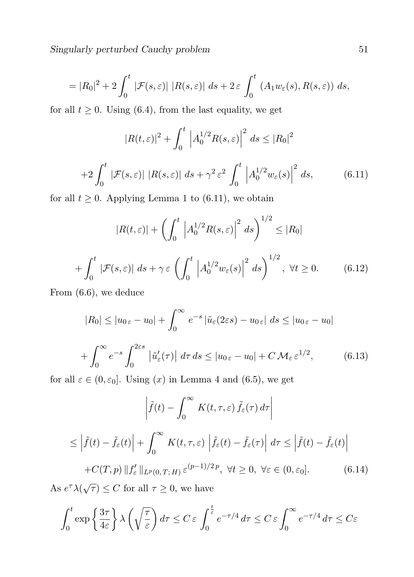Singularly perturbed Cauchy problem 51

$$
= |R_0|^2 + 2 \int_0^t |\mathcal{F}(s,\varepsilon)| |R(s,\varepsilon)| ds + 2\varepsilon \int_0^t (A_1 w_\varepsilon(s), R(s,\varepsilon)) ds,
$$

for all  $t \geq 0$ . Using (6.4), from the last equality, we get

$$
|R(t,\varepsilon)|^2 + \int_0^t \left| A_0^{1/2} R(s,\varepsilon) \right|^2 ds \le |R_0|^2
$$
  
+2
$$
\int_0^t |\mathcal{F}(s,\varepsilon)| |R(s,\varepsilon)| ds + \gamma^2 \varepsilon^2 \int_0^t \left| A_0^{1/2} w_\varepsilon(s) \right|^2 ds,
$$
(6.11)

for all  $t \geq 0$ . Applying Lemma 1 to (6.11), we obtain

$$
|R(t,\varepsilon)| + \left(\int_0^t \left|A_0^{1/2} R(s,\varepsilon)\right|^2 ds\right)^{1/2} \le |R_0|
$$
  
+ 
$$
\int_0^t |\mathcal{F}(s,\varepsilon)| ds + \gamma \varepsilon \left(\int_0^t \left|A_0^{1/2} w_\varepsilon(s)\right|^2 ds\right)^{1/2}, \ \forall t \ge 0.
$$
 (6.12)

From (6.6), we deduce

$$
|R_0| \le |u_{0\epsilon} - u_0| + \int_0^\infty e^{-s} |\tilde{u}_{\epsilon}(2\varepsilon s) - u_{0\epsilon}| ds \le |u_{0\epsilon} - u_0|
$$
  
+ 
$$
\int_0^\infty e^{-s} \int_0^{2\varepsilon s} |\tilde{u}'_{\epsilon}(\tau)| d\tau ds \le |u_{0\epsilon} - u_0| + C \mathcal{M}_{\epsilon} \varepsilon^{1/2}, \qquad (6.13)
$$

for all  $\varepsilon \in (0, \varepsilon_0]$ . Using  $(x)$  in Lemma 4 and  $(6.5)$ , we get

$$
\left| \tilde{f}(t) - \int_0^\infty K(t, \tau, \varepsilon) \tilde{f}_{\varepsilon}(\tau) d\tau \right|
$$
  

$$
\leq \left| \tilde{f}(t) - \tilde{f}_{\varepsilon}(t) \right| + \int_0^\infty K(t, \tau, \varepsilon) \left| \tilde{f}_{\varepsilon}(t) - \tilde{f}_{\varepsilon}(\tau) \right| d\tau \leq \left| \tilde{f}(t) - \tilde{f}_{\varepsilon}(t) \right|
$$
  
+
$$
C(T, p) \| f_{\varepsilon}' \|_{L^p(0, T; H)} \varepsilon^{(p-1)/2p}, \ \forall t \geq 0, \ \forall \varepsilon \in (0, \varepsilon_0]. \tag{6.14}
$$

As  $e^{\tau} \lambda(\sqrt{\tau}) \leq C$  for all  $\tau \geq 0$ , we have

$$
\int_0^t \exp\left\{\frac{3\tau}{4\varepsilon}\right\} \lambda\left(\sqrt{\frac{\tau}{\varepsilon}}\right) d\tau \le C \,\varepsilon \int_0^{\frac{t}{\varepsilon}} e^{-\tau/4} \, d\tau \le C \,\varepsilon \int_0^\infty e^{-\tau/4} \, d\tau \le C \varepsilon
$$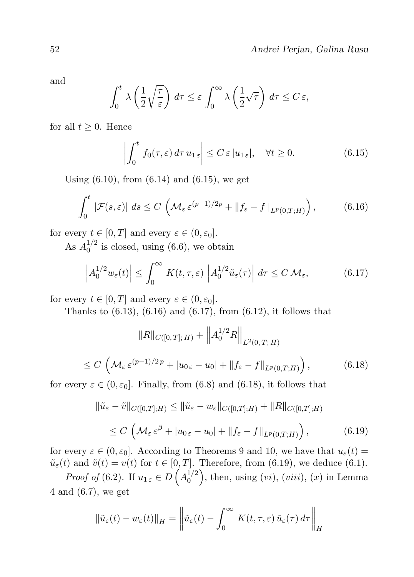and

$$
\int_0^t \lambda \left(\frac{1}{2}\sqrt{\frac{\tau}{\varepsilon}}\right) d\tau \leq \varepsilon \int_0^\infty \lambda \left(\frac{1}{2}\sqrt{\tau}\right) d\tau \leq C \varepsilon,
$$

for all  $t \geq 0$ . Hence

$$
\left| \int_0^t f_0(\tau, \varepsilon) d\tau \, u_{1\,\varepsilon} \right| \le C \, \varepsilon \, |u_{1\,\varepsilon}|, \quad \forall t \ge 0. \tag{6.15}
$$

Using  $(6.10)$ , from  $(6.14)$  and  $(6.15)$ , we get

$$
\int_0^t |\mathcal{F}(s,\varepsilon)| \, ds \le C \left( \mathcal{M}_\varepsilon \, \varepsilon^{(p-1)/2p} + \|f_\varepsilon - f\|_{L^p(0,T;H)} \right),\tag{6.16}
$$

for every  $t \in [0, T]$  and every  $\varepsilon \in (0, \varepsilon_0]$ .

As  $A_0^{1/2}$  $_0^{1/2}$  is closed, using (6.6), we obtain

$$
\left| A_0^{1/2} w_{\varepsilon}(t) \right| \leq \int_0^\infty K(t,\tau,\varepsilon) \left| A_0^{1/2} \tilde{u}_{\varepsilon}(\tau) \right| d\tau \leq C \, \mathcal{M}_{\varepsilon},\tag{6.17}
$$

for every  $t \in [0, T]$  and every  $\varepsilon \in (0, \varepsilon_0]$ .

Thanks to  $(6.13)$ ,  $(6.16)$  and  $(6.17)$ , from  $(6.12)$ , it follows that

$$
||R||_{C([0,T];H)} + ||A_0^{1/2}R||_{L^2(0,T;H)}
$$
  
\n
$$
\leq C \left( \mathcal{M}_{\varepsilon} \varepsilon^{(p-1)/2p} + |u_{0\,\varepsilon} - u_0| + ||f_{\varepsilon} - f||_{L^p(0,T;H)} \right),
$$
\n(6.18)

for every  $\varepsilon \in (0, \varepsilon_0]$ . Finally, from (6.8) and (6.18), it follows that

$$
\|\tilde{u}_{\varepsilon} - \tilde{v}\|_{C([0,T];H)} \le \|\tilde{u}_{\varepsilon} - w_{\varepsilon}\|_{C([0,T];H)} + \|R\|_{C([0,T];H)}
$$
  

$$
\le C \left(\mathcal{M}_{\varepsilon} \varepsilon^{\beta} + |u_{0\,\varepsilon} - u_{0}| + \|f_{\varepsilon} - f\|_{L^{p}(0,T;H)}\right),
$$
(6.19)

for every  $\varepsilon \in (0, \varepsilon_0]$ . According to Theorems 9 and 10, we have that  $u_{\varepsilon}(t) =$  $\tilde{u}_{\varepsilon}(t)$  and  $\tilde{v}(t) = v(t)$  for  $t \in [0, T]$ . Therefore, from (6.19), we deduce (6.1).

*Proof of* (6.2). If  $u_{1\epsilon} \in D\left(A_0^{1/2}\right)$  $\binom{1/2}{0}$ , then, using  $(vi)$ ,  $(viii)$ ,  $(x)$  in Lemma 4 and (6.7), we get

$$
\|\tilde{u}_{\varepsilon}(t) - w_{\varepsilon}(t)\|_{H} = \left\|\tilde{u}_{\varepsilon}(t) - \int_{0}^{\infty} K(t, \tau, \varepsilon) \tilde{u}_{\varepsilon}(\tau) d\tau\right\|_{H}
$$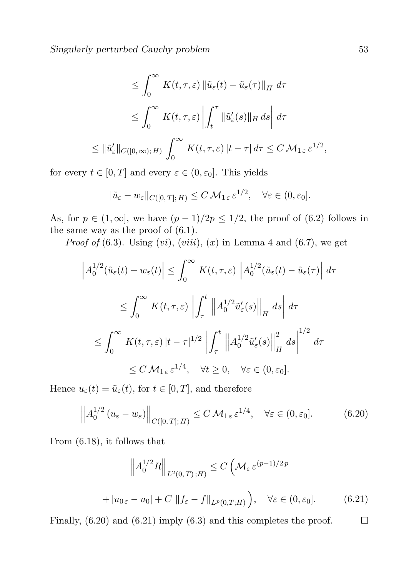Singularly perturbed Cauchy problem 53

$$
\leq \int_0^\infty K(t,\tau,\varepsilon) \left\| \tilde{u}_{\varepsilon}(t) - \tilde{u}_{\varepsilon}(\tau) \right\|_H d\tau
$$
  

$$
\leq \int_0^\infty K(t,\tau,\varepsilon) \left| \int_t^\tau \left\| \tilde{u}'_{\varepsilon}(s) \right\|_H ds \right| d\tau
$$
  

$$
\leq \left\| \tilde{u}'_{\varepsilon} \right\|_{C([0,\infty);H)} \int_0^\infty K(t,\tau,\varepsilon) |t - \tau| d\tau \leq C M_{1\varepsilon} \varepsilon^{1/2},
$$

for every  $t \in [0, T]$  and every  $\varepsilon \in (0, \varepsilon_0]$ . This yields

$$
\|\tilde{u}_{\varepsilon}-w_{\varepsilon}\|_{C([0,T];H)}\leq C\,\mathcal{M}_{1\,\varepsilon}\,\varepsilon^{1/2},\quad\forall\varepsilon\in(0,\varepsilon_0].
$$

As, for  $p \in (1,\infty]$ , we have  $(p-1)/2p \leq 1/2$ , the proof of (6.2) follows in the same way as the proof of (6.1).

*Proof of* (6.3). Using  $(vi)$ ,  $(viii)$ ,  $(x)$  in Lemma 4 and (6.7), we get

$$
\left| A_0^{1/2} (\tilde{u}_{\varepsilon}(t) - w_{\varepsilon}(t)) \right| \leq \int_0^{\infty} K(t, \tau, \varepsilon) \left| A_0^{1/2} (\tilde{u}_{\varepsilon}(t) - \tilde{u}_{\varepsilon}(\tau)) \right| d\tau
$$
  
\n
$$
\leq \int_0^{\infty} K(t, \tau, \varepsilon) \left| \int_{\tau}^t \left| A_0^{1/2} \tilde{u}_{\varepsilon}'(s) \right|_{H} ds \right| d\tau
$$
  
\n
$$
\leq \int_0^{\infty} K(t, \tau, \varepsilon) |t - \tau|^{1/2} \left| \int_{\tau}^t \left| A_0^{1/2} \tilde{u}_{\varepsilon}'(s) \right|_{H}^2 ds \right|^{1/2} d\tau
$$
  
\n
$$
\leq C M_{1 \varepsilon} \varepsilon^{1/4}, \quad \forall t \geq 0, \quad \forall \varepsilon \in (0, \varepsilon_0].
$$

Hence  $u_{\varepsilon}(t) = \tilde{u}_{\varepsilon}(t)$ , for  $t \in [0, T]$ , and therefore

$$
\left\| A_0^{1/2} \left( u_\varepsilon - w_\varepsilon \right) \right\|_{C([0,T];H)} \le C \, \mathcal{M}_{1\,\varepsilon} \, \varepsilon^{1/4}, \quad \forall \varepsilon \in (0,\varepsilon_0]. \tag{6.20}
$$

From (6.18), it follows that

$$
\left\| A_0^{1/2} R \right\|_{L^2(0,T);H} \le C \left( \mathcal{M}_{\varepsilon} \varepsilon^{(p-1)/2 p} + |u_{0\varepsilon} - u_0| + C \left\| f_{\varepsilon} - f \right\|_{L^p(0,T;H)} \right), \quad \forall \varepsilon \in (0,\varepsilon_0]. \tag{6.21}
$$

Finally,  $(6.20)$  and  $(6.21)$  imply  $(6.3)$  and this completes the proof.

 $\Box$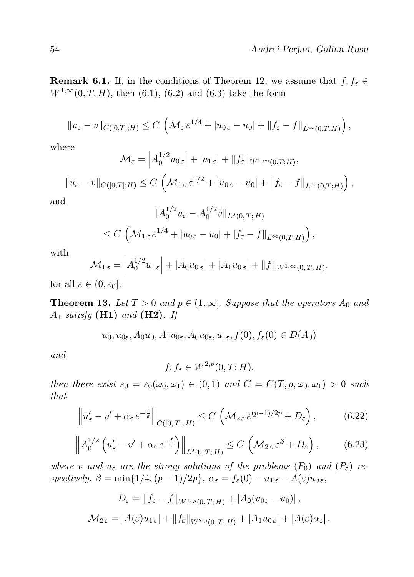**Remark 6.1.** If, in the conditions of Theorem 12, we assume that  $f, f_{\varepsilon} \in$  $W^{1,\infty}(0,T,H)$ , then (6.1), (6.2) and (6.3) take the form

$$
||u_{\varepsilon}-v||_{C([0,T];H)} \leq C \left( \mathcal{M}_{\varepsilon} \varepsilon^{1/4} + |u_{0\,\varepsilon}-u_{0}| + ||f_{\varepsilon}-f||_{L^{\infty}(0,T;H)} \right),
$$

where

$$
\mathcal{M}_{\varepsilon} = \left| A_0^{1/2} u_{0\,\varepsilon} \right| + |u_{1\,\varepsilon}| + \|f_{\varepsilon}\|_{W^{1,\infty}(0,T;H)},
$$

$$
||u_{\varepsilon}-v||_{C([0,T];H)} \leq C \left(\mathcal{M}_{1\,\varepsilon}\,\varepsilon^{1/2}+|u_{0\,\varepsilon}-u_{0}|+||f_{\varepsilon}-f||_{L^{\infty}(0,T;H)}\right),
$$

and

$$
||A_0^{1/2}u_{\varepsilon} - A_0^{1/2}v||_{L^2(0,T;H)}
$$
  
\n
$$
\leq C \left( \mathcal{M}_{1\varepsilon} \varepsilon^{1/4} + |u_{0\varepsilon} - u_0| + |f_{\varepsilon} - f||_{L^\infty(0,T;H)} \right),
$$

with

$$
\mathcal{M}_{1\,\varepsilon} = \left| A_0^{1/2} u_{1\,\varepsilon} \right| + \left| A_0 u_{0\,\varepsilon} \right| + \left| A_1 u_{0\,\varepsilon} \right| + \|f\|_{W^{1,\infty}(0,T;H)}.
$$

for all  $\varepsilon \in (0, \varepsilon_0]$ .

**Theorem 13.** Let  $T > 0$  and  $p \in (1, \infty]$ . Suppose that the operators  $A_0$  and  $A_1$  satisfy (H1) and (H2). If

 $u_0, u_{0\epsilon}, A_0u_0, A_1u_{0\epsilon}, A_0u_{0\epsilon}, u_{1\epsilon}, f(0), f_{\epsilon}(0) \in D(A_0)$ 

and

f,  $f_{\varepsilon} \in W^{2,p}(0,T;H)$ ,

then there exist  $\varepsilon_0 = \varepsilon_0(\omega_0, \omega_1) \in (0, 1)$  and  $C = C(T, p, \omega_0, \omega_1) > 0$  such that

$$
\left\|u'_{\varepsilon}-v'+\alpha_{\varepsilon}e^{-\frac{t}{\varepsilon}}\right\|_{C([0,T];H)} \leq C\left(\mathcal{M}_{2\varepsilon}\varepsilon^{(p-1)/2p}+D_{\varepsilon}\right),\tag{6.22}
$$

$$
\left\| A_0^{1/2} \left( u_\varepsilon' - v' + \alpha_\varepsilon e^{-\frac{t}{\varepsilon}} \right) \right\|_{L^2(0,T;H)} \le C \left( \mathcal{M}_{2\varepsilon} \varepsilon^\beta + D_\varepsilon \right), \tag{6.23}
$$

where v and  $u_{\varepsilon}$  are the strong solutions of the problems  $(P_0)$  and  $(P_{\varepsilon})$  respectively,  $\beta = \min\{1/4, (p-1)/2p\}$ ,  $\alpha_{\varepsilon} = f_{\varepsilon}(0) - u_{1,\varepsilon} - A(\varepsilon)u_{0,\varepsilon}$ ,

$$
D_{\varepsilon} = \|f_{\varepsilon} - f\|_{W^{1, p}(0, T; H)} + |A_0(u_{0\varepsilon} - u_0)|,
$$
  

$$
\mathcal{M}_{2\varepsilon} = |A(\varepsilon)u_{1\varepsilon}| + \|f_{\varepsilon}\|_{W^{2, p}(0, T; H)} + |A_1 u_{0\varepsilon}| + |A(\varepsilon)\alpha_{\varepsilon}|.
$$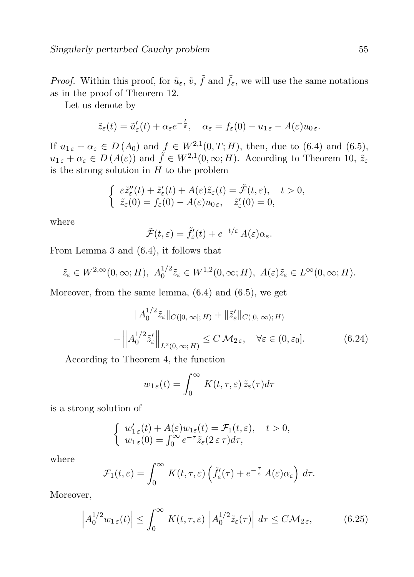*Proof.* Within this proof, for  $\tilde{u}_{\varepsilon}$ ,  $\tilde{v}$ ,  $\tilde{f}$  and  $\tilde{f}_{\varepsilon}$ , we will use the same notations as in the proof of Theorem 12.

Let us denote by

$$
\tilde{z}_{\varepsilon}(t) = \tilde{u}'_{\varepsilon}(t) + \alpha_{\varepsilon} e^{-\frac{t}{\varepsilon}}, \quad \alpha_{\varepsilon} = f_{\varepsilon}(0) - u_{1\,\varepsilon} - A(\varepsilon)u_{0\,\varepsilon}.
$$

If  $u_{1,\varepsilon} + \alpha_{\varepsilon} \in D(A_0)$  and  $f \in W^{2,1}(0,T;H)$ , then, due to (6.4) and (6.5),  $u_{1,\varepsilon} + \alpha_{\varepsilon} \in D(A(\varepsilon))$  and  $\tilde{f} \in W^{2,1}(0,\infty;H)$ . According to Theorem 10,  $\tilde{z}_{\varepsilon}$ is the strong solution in  $H$  to the problem

$$
\begin{cases} \ \varepsilon \tilde{z}''_{\varepsilon}(t) + \tilde{z}'_{\varepsilon}(t) + A(\varepsilon) \tilde{z}_{\varepsilon}(t) = \tilde{\mathcal{F}}(t, \varepsilon), \quad t > 0, \\ \ \tilde{z}_{\varepsilon}(0) = f_{\varepsilon}(0) - A(\varepsilon) u_{0 \varepsilon}, \quad \tilde{z}'_{\varepsilon}(0) = 0, \end{cases}
$$

where

$$
\tilde{\mathcal{F}}(t,\varepsilon) = \tilde{f}_{\varepsilon}'(t) + e^{-t/\varepsilon} A(\varepsilon) \alpha_{\varepsilon}.
$$

From Lemma 3 and (6.4), it follows that

$$
\tilde{z}_{\varepsilon} \in W^{2,\infty}(0,\infty;H), A_0^{1/2} \tilde{z}_{\varepsilon} \in W^{1,2}(0,\infty;H), A(\varepsilon) \tilde{z}_{\varepsilon} \in L^{\infty}(0,\infty;H).
$$

Moreover, from the same lemma, (6.4) and (6.5), we get

$$
||A_0^{1/2}\tilde{z}_{\varepsilon}||_{C([0,\infty);H)} + ||\tilde{z}_{\varepsilon}'||_{C([0,\infty);H)}
$$
  
+ 
$$
||A_0^{1/2}\tilde{z}_{\varepsilon}'||_{L^2(0,\infty;H)} \leq C \mathcal{M}_{2\varepsilon}, \quad \forall \varepsilon \in (0,\varepsilon_0].
$$
 (6.24)

According to Theorem 4, the function

$$
w_{1\,\varepsilon}(t) = \int_0^\infty K(t,\tau,\varepsilon) \,\tilde{z}_\varepsilon(\tau) d\tau
$$

is a strong solution of

$$
\begin{cases} w'_{1\,\varepsilon}(t) + A(\varepsilon)w_{1\varepsilon}(t) = \mathcal{F}_1(t,\varepsilon), \quad t > 0, \\ w_{1\,\varepsilon}(0) = \int_0^\infty e^{-\tau} \tilde{z}_\varepsilon(2\,\varepsilon\,\tau) d\tau, \end{cases}
$$

where

$$
\mathcal{F}_1(t,\varepsilon) = \int_0^\infty K(t,\tau,\varepsilon) \left( \tilde{f}'_{\varepsilon}(\tau) + e^{-\frac{\tau}{\varepsilon}} A(\varepsilon) \alpha_{\varepsilon} \right) d\tau.
$$

Moreover,

$$
\left| A_0^{1/2} w_{1\,\varepsilon}(t) \right| \le \int_0^\infty K(t,\tau,\varepsilon) \left| A_0^{1/2} \tilde{z}_\varepsilon(\tau) \right| d\tau \le C \mathcal{M}_{2\,\varepsilon},\tag{6.25}
$$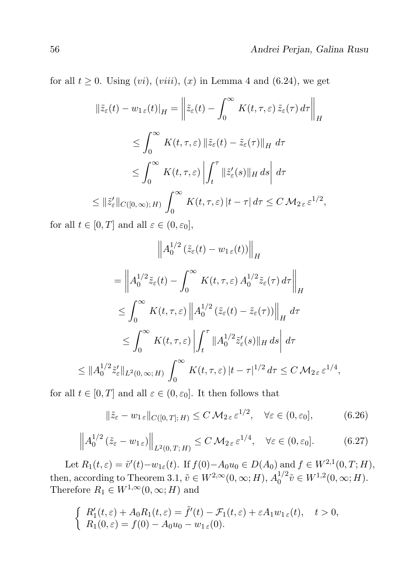for all  $t \geq 0$ . Using  $(vi)$ ,  $(viii)$ ,  $(x)$  in Lemma 4 and  $(6.24)$ , we get

$$
\|\tilde{z}_{\varepsilon}(t) - w_{1\varepsilon}(t)\|_{H} = \left\|\tilde{z}_{\varepsilon}(t) - \int_{0}^{\infty} K(t,\tau,\varepsilon) \, \tilde{z}_{\varepsilon}(\tau) \, d\tau\right\|_{H}
$$
  
\n
$$
\leq \int_{0}^{\infty} K(t,\tau,\varepsilon) \left\|\tilde{z}_{\varepsilon}(t) - \tilde{z}_{\varepsilon}(\tau)\right\|_{H} d\tau
$$
  
\n
$$
\leq \int_{0}^{\infty} K(t,\tau,\varepsilon) \left\|\int_{t}^{\tau} \|\tilde{z}_{\varepsilon}'(s)\|_{H} ds\right| d\tau
$$
  
\n
$$
\leq \|\tilde{z}_{\varepsilon}'\|_{C([0,\infty);H)} \int_{0}^{\infty} K(t,\tau,\varepsilon) |t-\tau| d\tau \leq C M_{2\varepsilon} \varepsilon^{1/2},
$$

for all  $t \in [0, T]$  and all  $\varepsilon \in (0, \varepsilon_0]$ ,

$$
\left\| A_0^{1/2} \left( \tilde{z}_{\varepsilon}(t) - w_{1\varepsilon}(t) \right) \right\|_H
$$
  
\n
$$
= \left\| A_0^{1/2} \tilde{z}_{\varepsilon}(t) - \int_0^\infty K(t, \tau, \varepsilon) A_0^{1/2} \tilde{z}_{\varepsilon}(\tau) d\tau \right\|_H
$$
  
\n
$$
\leq \int_0^\infty K(t, \tau, \varepsilon) \left\| A_0^{1/2} \left( \tilde{z}_{\varepsilon}(t) - \tilde{z}_{\varepsilon}(\tau) \right) \right\|_H d\tau
$$
  
\n
$$
\leq \int_0^\infty K(t, \tau, \varepsilon) \left\| \int_t^\tau \| A_0^{1/2} \tilde{z}_{\varepsilon}'(s) \|_H ds \right\| d\tau
$$
  
\n
$$
\leq \| A_0^{1/2} \tilde{z}_{\varepsilon}' \|_{L^2(0, \infty; H)} \int_0^\infty K(t, \tau, \varepsilon) |t - \tau|^{1/2} d\tau \leq C M_{2\varepsilon} \varepsilon^{1/4},
$$

for all  $t \in [0, T]$  and all  $\varepsilon \in (0, \varepsilon_0]$ . It then follows that

$$
\|\tilde{z}_{\varepsilon} - w_{1\,\varepsilon}\|_{C([0,T];\,H)} \le C \,\mathcal{M}_{2\,\varepsilon}\,\varepsilon^{1/2}, \quad \forall \varepsilon \in (0,\varepsilon_0],\tag{6.26}
$$

$$
\left\| A_0^{1/2} \left( \tilde{z}_{\varepsilon} - w_{1\,\varepsilon} \right) \right\|_{L^2(0,T;H)} \le C \, \mathcal{M}_{2\,\varepsilon} \, \varepsilon^{1/4}, \quad \forall \varepsilon \in (0,\varepsilon_0]. \tag{6.27}
$$

Let  $R_1(t,\varepsilon) = \tilde{v}'(t) - w_{1\varepsilon}(t)$ . If  $f(0) - A_0u_0 \in D(A_0)$  and  $f \in W^{2,1}(0,T;H)$ , then, according to Theorem 3.1,  $\tilde{v} \in W^{2,\infty}(0,\infty;H)$ ,  $A_0^{1/2}$  $_0^{1/2}\tilde{v} \in W^{1,2}(0,\infty;H).$ Therefore  $R_1 \in W^{1,\infty}(0,\infty;H)$  and

$$
\begin{cases}\nR'_1(t,\varepsilon) + A_0 R_1(t,\varepsilon) = \tilde{f}'(t) - \mathcal{F}_1(t,\varepsilon) + \varepsilon A_1 w_{1,\varepsilon}(t), \quad t > 0, \\
R_1(0,\varepsilon) = f(0) - A_0 u_0 - w_{1,\varepsilon}(0).\n\end{cases}
$$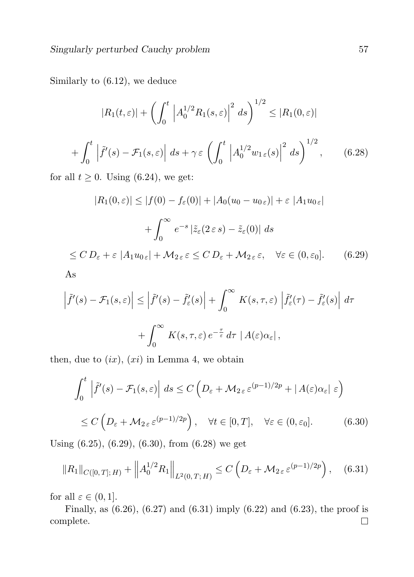Similarly to (6.12), we deduce

$$
|R_1(t,\varepsilon)| + \left(\int_0^t \left|A_0^{1/2} R_1(s,\varepsilon)\right|^2 ds\right)^{1/2} \le |R_1(0,\varepsilon)|
$$
  
+ 
$$
\int_0^t \left|\tilde{f}'(s) - \mathcal{F}_1(s,\varepsilon)\right| ds + \gamma \varepsilon \left(\int_0^t \left|A_0^{1/2} w_{1,\varepsilon}(s)\right|^2 ds\right)^{1/2}, \qquad (6.28)
$$

for all  $t \geq 0$ . Using (6.24), we get:

$$
|R_1(0,\varepsilon)| \le |f(0) - f_{\varepsilon}(0)| + |A_0(u_0 - u_{0\,\varepsilon})| + \varepsilon |A_1 u_{0\,\varepsilon}|
$$
  
+ 
$$
\int_0^\infty e^{-s} |\tilde{z}_{\varepsilon}(2\varepsilon s) - \tilde{z}_{\varepsilon}(0)| ds
$$
  

$$
\le C D_{\varepsilon} + \varepsilon |A_1 u_{0\,\varepsilon}| + \mathcal{M}_{2\varepsilon} \varepsilon \le C D_{\varepsilon} + \mathcal{M}_{2\varepsilon} \varepsilon, \quad \forall \varepsilon \in (0, \varepsilon_0].
$$
 (6.29)  
As

$$
\left|\tilde{f}'(s) - \mathcal{F}_1(s,\varepsilon)\right| \le \left|\tilde{f}'(s) - \tilde{f}'_{\varepsilon}(s)\right| + \int_0^{\infty} K(s,\tau,\varepsilon) \left|\tilde{f}'_{\varepsilon}(\tau) - \tilde{f}'_{\varepsilon}(s)\right| d\tau
$$

$$
+ \int_0^{\infty} K(s,\tau,\varepsilon) e^{-\frac{\tau}{\varepsilon}} d\tau \left|A(\varepsilon)\alpha_{\varepsilon}\right|,
$$

then, due to  $(ix)$ ,  $(xi)$  in Lemma 4, we obtain

$$
\int_0^t \left| \tilde{f}'(s) - \mathcal{F}_1(s, \varepsilon) \right| ds \le C \left( D_\varepsilon + \mathcal{M}_{2\varepsilon} \varepsilon^{(p-1)/2p} + |A(\varepsilon)\alpha_{\varepsilon}| \varepsilon \right)
$$
  

$$
\le C \left( D_\varepsilon + \mathcal{M}_{2\varepsilon} \varepsilon^{(p-1)/2p} \right), \quad \forall t \in [0, T], \quad \forall \varepsilon \in (0, \varepsilon_0]. \tag{6.30}
$$

Using (6.25), (6.29), (6.30), from (6.28) we get

$$
||R_1||_{C([0,T];H)} + ||A_0^{1/2}R_1||_{L^2(0,T;H)} \le C\left(D_{\varepsilon} + M_{2\varepsilon} \varepsilon^{(p-1)/2p}\right), \quad (6.31)
$$

for all  $\varepsilon \in (0,1]$ .

Finally, as  $(6.26)$ ,  $(6.27)$  and  $(6.31)$  imply  $(6.22)$  and  $(6.23)$ , the proof is complete. $\Box$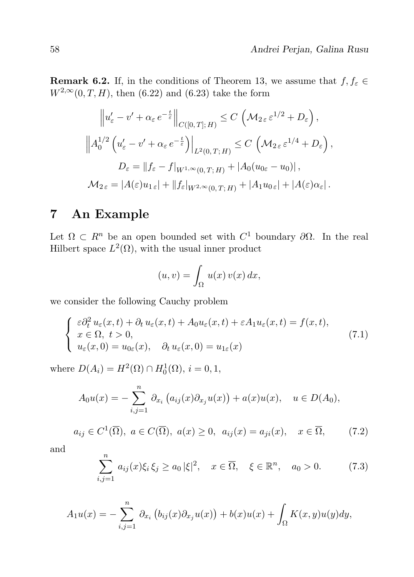**Remark 6.2.** If, in the conditions of Theorem 13, we assume that  $f, f_{\varepsilon} \in$  $W^{2,\infty}(0,T,H)$ , then (6.22) and (6.23) take the form

$$
\|u'_{\varepsilon} - v' + \alpha_{\varepsilon} e^{-\frac{t}{\varepsilon}}\|_{C([0,T];H)} \le C \left(\mathcal{M}_{2\varepsilon} \varepsilon^{1/2} + D_{\varepsilon}\right),
$$
  

$$
\|A_0^{1/2} \left(u'_{\varepsilon} - v' + \alpha_{\varepsilon} e^{-\frac{t}{\varepsilon}}\right)\|_{L^2(0,T;H)} \le C \left(\mathcal{M}_{2\varepsilon} \varepsilon^{1/4} + D_{\varepsilon}\right),
$$
  

$$
D_{\varepsilon} = \|f_{\varepsilon} - f|_{W^{1,\infty}(0,T;H)} + |A_0(u_{0\varepsilon} - u_0)|,
$$
  

$$
\mathcal{M}_{2\varepsilon} = |A(\varepsilon)u_{1\varepsilon}| + \|f_{\varepsilon}|_{W^{2,\infty}(0,T;H)} + |A_1 u_{0\varepsilon}| + |A(\varepsilon)\alpha_{\varepsilon}|.
$$

#### 7 An Example

Let  $\Omega \subset R^n$  be an open bounded set with  $C^1$  boundary  $\partial \Omega$ . In the real Hilbert space  $L^2(\Omega)$ , with the usual inner product

$$
(u,v) = \int_{\Omega} u(x) v(x) dx,
$$

we consider the following Cauchy problem

$$
\begin{cases}\n\varepsilon \partial_t^2 u_\varepsilon(x,t) + \partial_t u_\varepsilon(x,t) + A_0 u_\varepsilon(x,t) + \varepsilon A_1 u_\varepsilon(x,t) = f(x,t), \\
x \in \Omega, \ t > 0, \\
u_\varepsilon(x,0) = u_{0\varepsilon}(x), \quad \partial_t u_\varepsilon(x,0) = u_{1\varepsilon}(x)\n\end{cases} \tag{7.1}
$$

where  $D(A_i) = H^2(\Omega) \cap H_0^1(\Omega), i = 0, 1$ ,

$$
A_0 u(x) = - \sum_{i,j=1}^n \partial_{x_i} (a_{ij}(x) \partial_{x_j} u(x)) + a(x) u(x), \quad u \in D(A_0),
$$

$$
a_{ij} \in C^{1}(\overline{\Omega}), \ a \in C(\overline{\Omega}), \ a(x) \ge 0, \ a_{ij}(x) = a_{ji}(x), \quad x \in \overline{\Omega}, \tag{7.2}
$$

and

$$
\sum_{i,j=1}^{n} a_{ij}(x)\xi_i \xi_j \ge a_0 |\xi|^2, \quad x \in \overline{\Omega}, \quad \xi \in \mathbb{R}^n, \quad a_0 > 0. \tag{7.3}
$$

$$
A_1u(x) = -\sum_{i,j=1}^n \partial_{x_i} (b_{ij}(x)\partial_{x_j}u(x)) + b(x)u(x) + \int_{\Omega} K(x,y)u(y)dy,
$$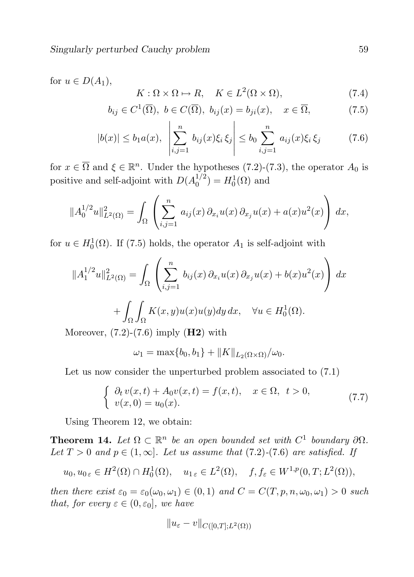for  $u \in D(A_1)$ ,

$$
K: \Omega \times \Omega \mapsto R, \quad K \in L^{2}(\Omega \times \Omega), \tag{7.4}
$$

$$
b_{ij} \in C^1(\overline{\Omega}), \ b \in C(\overline{\Omega}), \ b_{ij}(x) = b_{ji}(x), \quad x \in \overline{\Omega}, \tag{7.5}
$$

$$
|b(x)| \le b_1 a(x), \quad \left| \sum_{i,j=1}^n b_{ij}(x)\xi_i \, \xi_j \right| \le b_0 \sum_{i,j=1}^n a_{ij}(x)\xi_i \, \xi_j \tag{7.6}
$$

for  $x \in \overline{\Omega}$  and  $\xi \in \mathbb{R}^n$ . Under the hypotheses (7.2)-(7.3), the operator  $A_0$  is positive and self-adjoint with  $D(A_0^{1/2})$  $\binom{1/2}{0} = H_0^1(\Omega)$  and

$$
||A_0^{1/2}u||_{L^2(\Omega)}^2 = \int_{\Omega} \left( \sum_{i,j=1}^n a_{ij}(x) \, \partial_{x_i} u(x) \, \partial_{x_j} u(x) + a(x) u^2(x) \right) dx,
$$

for  $u \in H_0^1(\Omega)$ . If (7.5) holds, the operator  $A_1$  is self-adjoint with

$$
||A_1^{1/2}u||_{L^2(\Omega)}^2 = \int_{\Omega} \left( \sum_{i,j=1}^n b_{ij}(x) \, \partial_{x_i} u(x) \, \partial_{x_j} u(x) + b(x) u^2(x) \right) dx
$$

$$
+ \int_{\Omega} \int_{\Omega} K(x,y) u(x) u(y) dy dx, \quad \forall u \in H_0^1(\Omega).
$$

Moreover,  $(7.2)-(7.6)$  imply  $(H2)$  with

$$
\omega_1 = \max\{b_0, b_1\} + ||K||_{L_2(\Omega \times \Omega)}/\omega_0.
$$

Let us now consider the unperturbed problem associated to  $(7.1)$ 

$$
\begin{cases}\n\partial_t v(x,t) + A_0 v(x,t) = f(x,t), & x \in \Omega, \ t > 0, \\
v(x,0) = u_0(x).\n\end{cases}
$$
\n(7.7)

Using Theorem 12, we obtain:

**Theorem 14.** Let  $\Omega \subset \mathbb{R}^n$  be an open bounded set with  $C^1$  boundary  $\partial\Omega$ . Let  $T > 0$  and  $p \in (1, \infty]$ . Let us assume that  $(7.2)$ - $(7.6)$  are satisfied. If

$$
u_0, u_0 \in H^2(\Omega) \cap H_0^1(\Omega), \quad u_{1\epsilon} \in L^2(\Omega), \quad f, f_{\epsilon} \in W^{1,p}(0,T;L^2(\Omega)),
$$

then there exist  $\varepsilon_0 = \varepsilon_0(\omega_0, \omega_1) \in (0, 1)$  and  $C = C(T, p, n, \omega_0, \omega_1) > 0$  such that, for every  $\varepsilon \in (0, \varepsilon_0]$ , we have

$$
||u_{\varepsilon}-v||_{C([0,T];L^2(\Omega))}
$$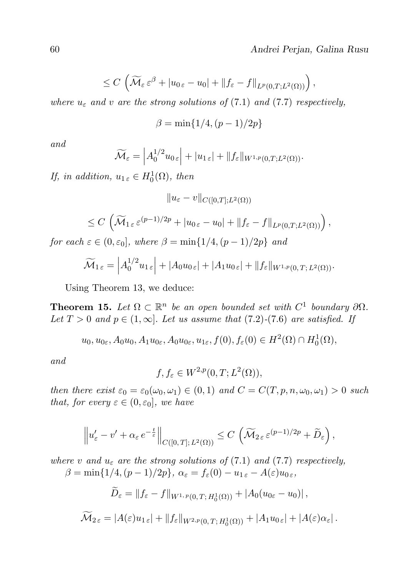$$
\leq C\,\left(\widetilde{\mathcal{M}}_{\varepsilon}\,\varepsilon^{\beta} + |u_{0\,\varepsilon} - u_{0}| + \|f_{\varepsilon} - f\|_{L^{p}(0,T;L^{2}(\Omega))}\right),
$$

where  $u_{\varepsilon}$  and v are the strong solutions of (7.1) and (7.7) respectively,

$$
\beta = \min\{1/4, (p-1)/2p\}
$$

and

$$
\widetilde{\mathcal{M}}_{\varepsilon} = \left| A_0^{1/2} u_{0\,\varepsilon} \right| + |u_{1\,\varepsilon}| + \|f_{\varepsilon}\|_{W^{1,p}(0,T;L^2(\Omega))}.
$$

If, in addition,  $u_{1\epsilon} \in H_0^1(\Omega)$ , then

$$
||u_{\varepsilon}-v||_{C([0,T];L^2(\Omega))}
$$

$$
\leq C\left(\widetilde{\mathcal{M}}_{1\,\varepsilon}\,\varepsilon^{(p-1)/2p}+|u_{0\,\varepsilon}-u_{0}|+\|f_{\varepsilon}-f\|_{L^{p}(0,T;L^{2}(\Omega))}\right),
$$

for each  $\varepsilon \in (0, \varepsilon_0]$ , where  $\beta = \min\{1/4, (p-1)/2p\}$  and

$$
\widetilde{\mathcal{M}}_{1\,\varepsilon} = \left| A_0^{1/2} u_{1\,\varepsilon} \right| + \left| A_0 u_{0\,\varepsilon} \right| + \left| A_1 u_{0\,\varepsilon} \right| + \| f_{\varepsilon} \|_{W^{1,p}(0,T;L^2(\Omega))}.
$$

Using Theorem 13, we deduce:

**Theorem 15.** Let  $\Omega \subset \mathbb{R}^n$  be an open bounded set with  $C^1$  boundary  $\partial\Omega$ . Let  $T > 0$  and  $p \in (1, \infty]$ . Let us assume that  $(7.2)$ - $(7.6)$  are satisfied. If

 $u_0, u_{0\epsilon}, A_0u_0, A_1u_{0\epsilon}, A_0u_{0\epsilon}, u_{1\epsilon}, f(0), f_{\epsilon}(0) \in H^2(\Omega) \cap H_0^1(\Omega),$ 

and

$$
f, f_{\varepsilon} \in W^{2,p}(0,T;L^2(\Omega)),
$$

then there exist  $\varepsilon_0 = \varepsilon_0(\omega_0, \omega_1) \in (0, 1)$  and  $C = C(T, p, n, \omega_0, \omega_1) > 0$  such that, for every  $\varepsilon \in (0, \varepsilon_0]$ , we have

$$
\left\|u'_{\varepsilon}-v'+\alpha_{\varepsilon}e^{-\frac{t}{\varepsilon}}\right\|_{C([0,T];L^2(\Omega))}\leq C\,\left(\widetilde{\mathcal M}_{2\,\varepsilon}\,\varepsilon^{(p-1)/2p}+\widetilde D_\varepsilon\right),
$$

where v and  $u_{\varepsilon}$  are the strong solutions of (7.1) and (7.7) respectively,  $\beta = \min\{1/4, (p-1)/2p\}, \ \alpha_{\varepsilon} = f_{\varepsilon}(0) - u_{1,\varepsilon} - A(\varepsilon)u_{0,\varepsilon},$ 

$$
\widetilde{D}_{\varepsilon} = \|f_{\varepsilon} - f\|_{W^{1,p}(0,T;H^1_0(\Omega))} + |A_0(u_{0\varepsilon} - u_0)|,
$$

$$
\widetilde{\mathcal{M}}_{2\,\varepsilon} = |A(\varepsilon)u_{1\,\varepsilon}| + \|f_{\varepsilon}\|_{W^{2,p}(0,T;H^1_0(\Omega))} + |A_1u_{0\,\varepsilon}| + |A(\varepsilon)\alpha_{\varepsilon}|.
$$